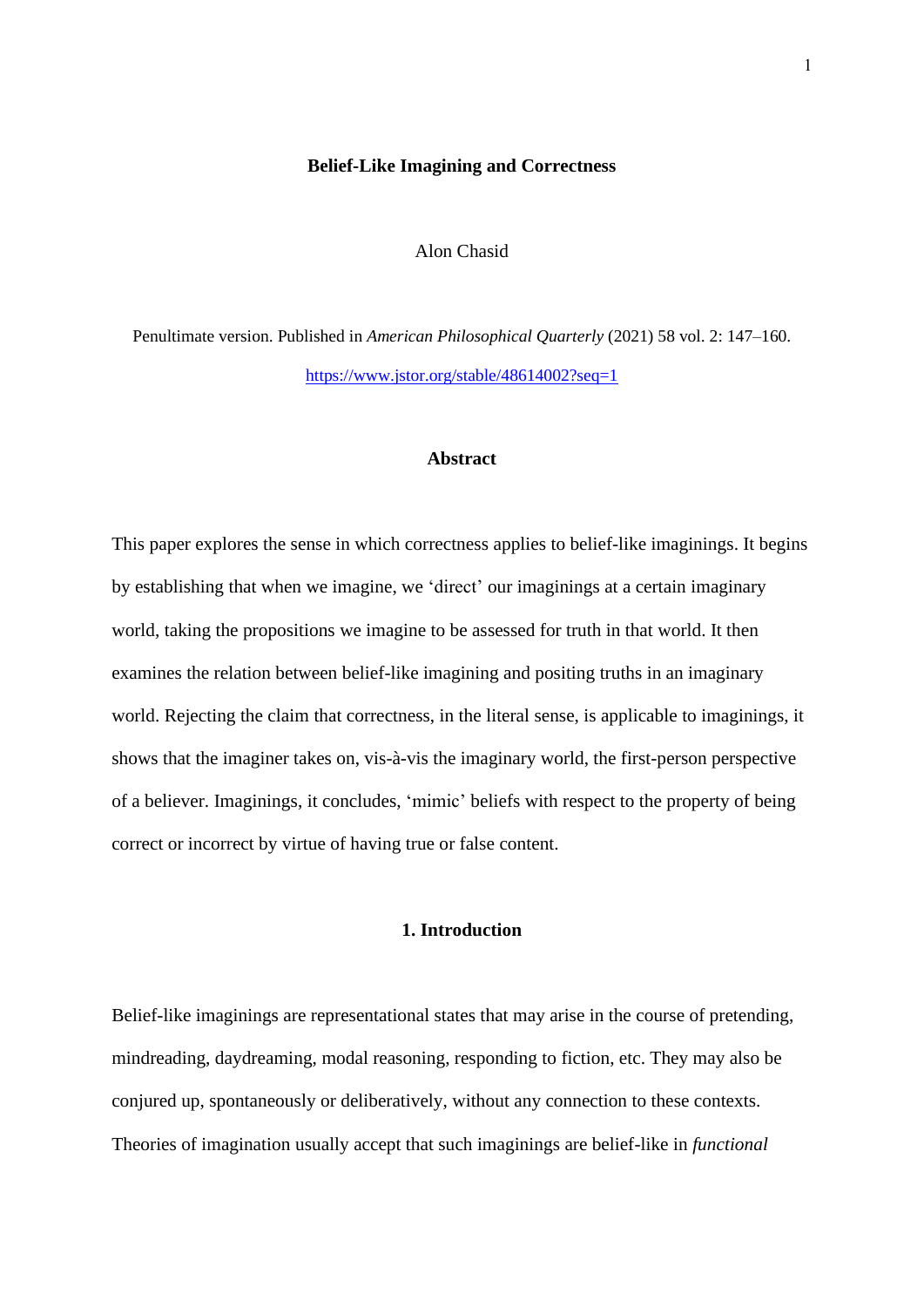### **Belief-Like Imagining and Correctness**

## Alon Chasid

Penultimate version. Published in *American Philosophical Quarterly* (2021) 58 vol. 2: 147–160. <https://www.jstor.org/stable/48614002?seq=1>

### **Abstract**

This paper explores the sense in which correctness applies to belief-like imaginings. It begins by establishing that when we imagine, we 'direct' our imaginings at a certain imaginary world, taking the propositions we imagine to be assessed for truth in that world. It then examines the relation between belief-like imagining and positing truths in an imaginary world. Rejecting the claim that correctness, in the literal sense, is applicable to imaginings, it shows that the imaginer takes on, vis-à-vis the imaginary world, the first-person perspective of a believer. Imaginings, it concludes, 'mimic' beliefs with respect to the property of being correct or incorrect by virtue of having true or false content.

# **1. Introduction**

Belief-like imaginings are representational states that may arise in the course of pretending, mindreading, daydreaming, modal reasoning, responding to fiction, etc. They may also be conjured up, spontaneously or deliberatively, without any connection to these contexts. Theories of imagination usually accept that such imaginings are belief-like in *functional*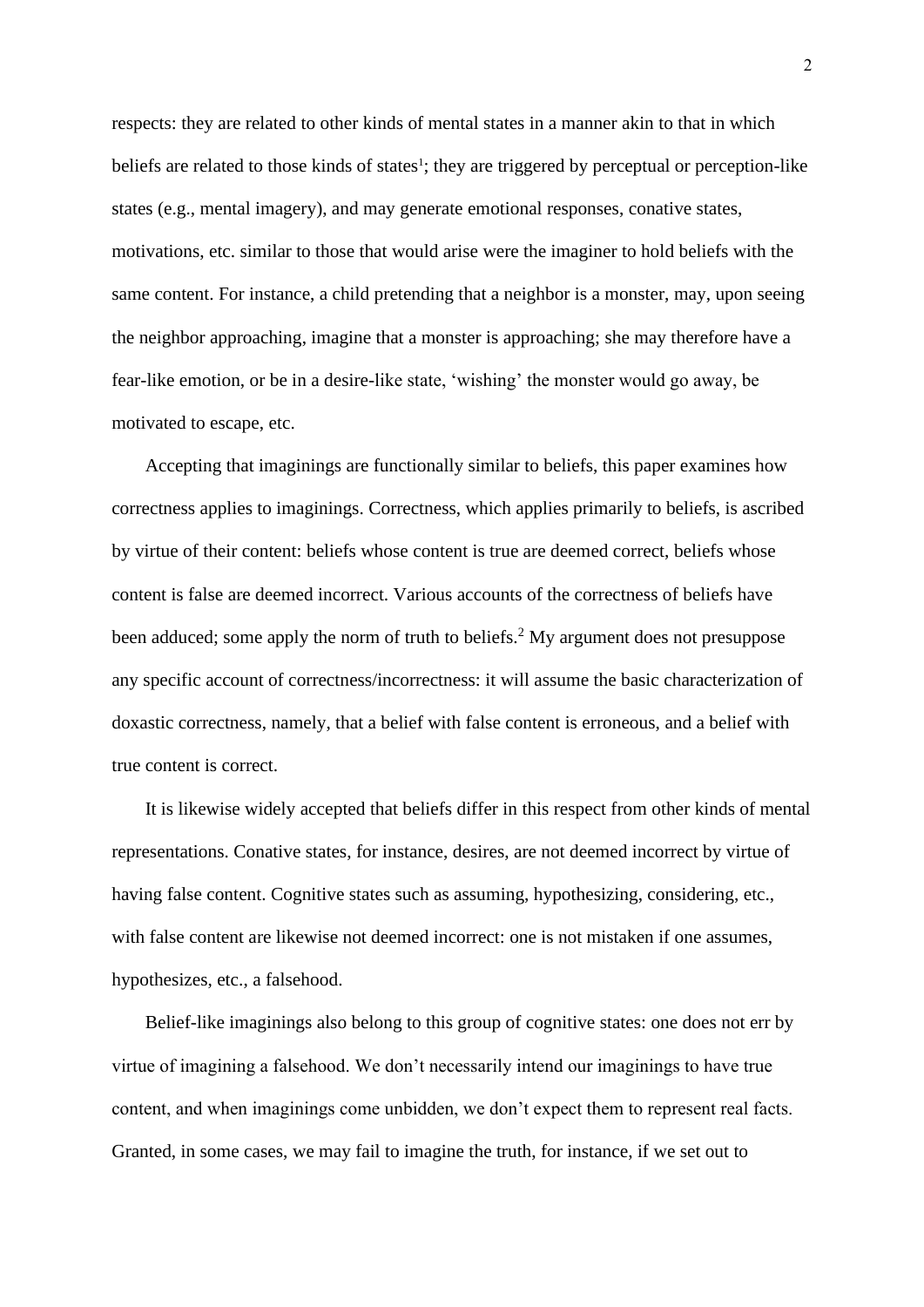respects: they are related to other kinds of mental states in a manner akin to that in which beliefs are related to those kinds of states<sup>1</sup>; they are triggered by perceptual or perception-like states (e.g., mental imagery), and may generate emotional responses, conative states, motivations, etc. similar to those that would arise were the imaginer to hold beliefs with the same content. For instance, a child pretending that a neighbor is a monster, may, upon seeing the neighbor approaching, imagine that a monster is approaching; she may therefore have a fear-like emotion, or be in a desire-like state, 'wishing' the monster would go away, be motivated to escape, etc.

Accepting that imaginings are functionally similar to beliefs, this paper examines how correctness applies to imaginings. Correctness, which applies primarily to beliefs, is ascribed by virtue of their content: beliefs whose content is true are deemed correct, beliefs whose content is false are deemed incorrect. Various accounts of the correctness of beliefs have been adduced; some apply the norm of truth to beliefs.<sup>2</sup> My argument does not presuppose any specific account of correctness/incorrectness: it will assume the basic characterization of doxastic correctness, namely, that a belief with false content is erroneous, and a belief with true content is correct.

It is likewise widely accepted that beliefs differ in this respect from other kinds of mental representations. Conative states, for instance, desires, are not deemed incorrect by virtue of having false content. Cognitive states such as assuming, hypothesizing, considering, etc., with false content are likewise not deemed incorrect: one is not mistaken if one assumes, hypothesizes, etc., a falsehood.

Belief-like imaginings also belong to this group of cognitive states: one does not err by virtue of imagining a falsehood. We don't necessarily intend our imaginings to have true content, and when imaginings come unbidden, we don't expect them to represent real facts. Granted, in some cases, we may fail to imagine the truth, for instance, if we set out to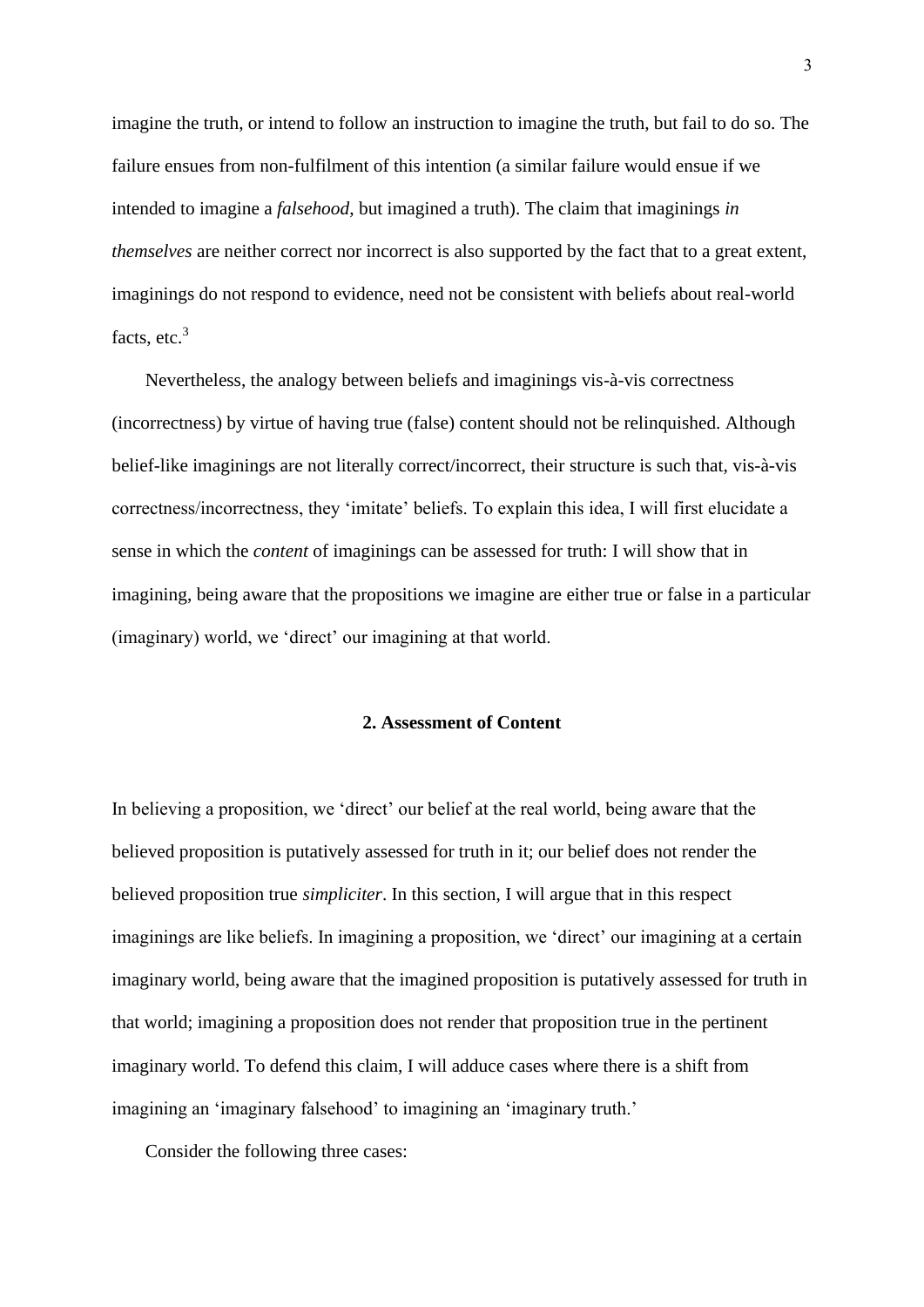imagine the truth, or intend to follow an instruction to imagine the truth, but fail to do so. The failure ensues from non-fulfilment of this intention (a similar failure would ensue if we intended to imagine a *falsehood*, but imagined a truth). The claim that imaginings *in themselves* are neither correct nor incorrect is also supported by the fact that to a great extent, imaginings do not respond to evidence, need not be consistent with beliefs about real-world facts, etc.<sup>3</sup>

Nevertheless, the analogy between beliefs and imaginings vis-à-vis correctness (incorrectness) by virtue of having true (false) content should not be relinquished. Although belief-like imaginings are not literally correct/incorrect, their structure is such that, vis-à-vis correctness/incorrectness, they 'imitate' beliefs. To explain this idea, I will first elucidate a sense in which the *content* of imaginings can be assessed for truth: I will show that in imagining, being aware that the propositions we imagine are either true or false in a particular (imaginary) world, we 'direct' our imagining at that world.

## **2. Assessment of Content**

In believing a proposition, we 'direct' our belief at the real world, being aware that the believed proposition is putatively assessed for truth in it; our belief does not render the believed proposition true *simpliciter*. In this section, I will argue that in this respect imaginings are like beliefs. In imagining a proposition, we 'direct' our imagining at a certain imaginary world, being aware that the imagined proposition is putatively assessed for truth in that world; imagining a proposition does not render that proposition true in the pertinent imaginary world. To defend this claim, I will adduce cases where there is a shift from imagining an 'imaginary falsehood' to imagining an 'imaginary truth.'

Consider the following three cases: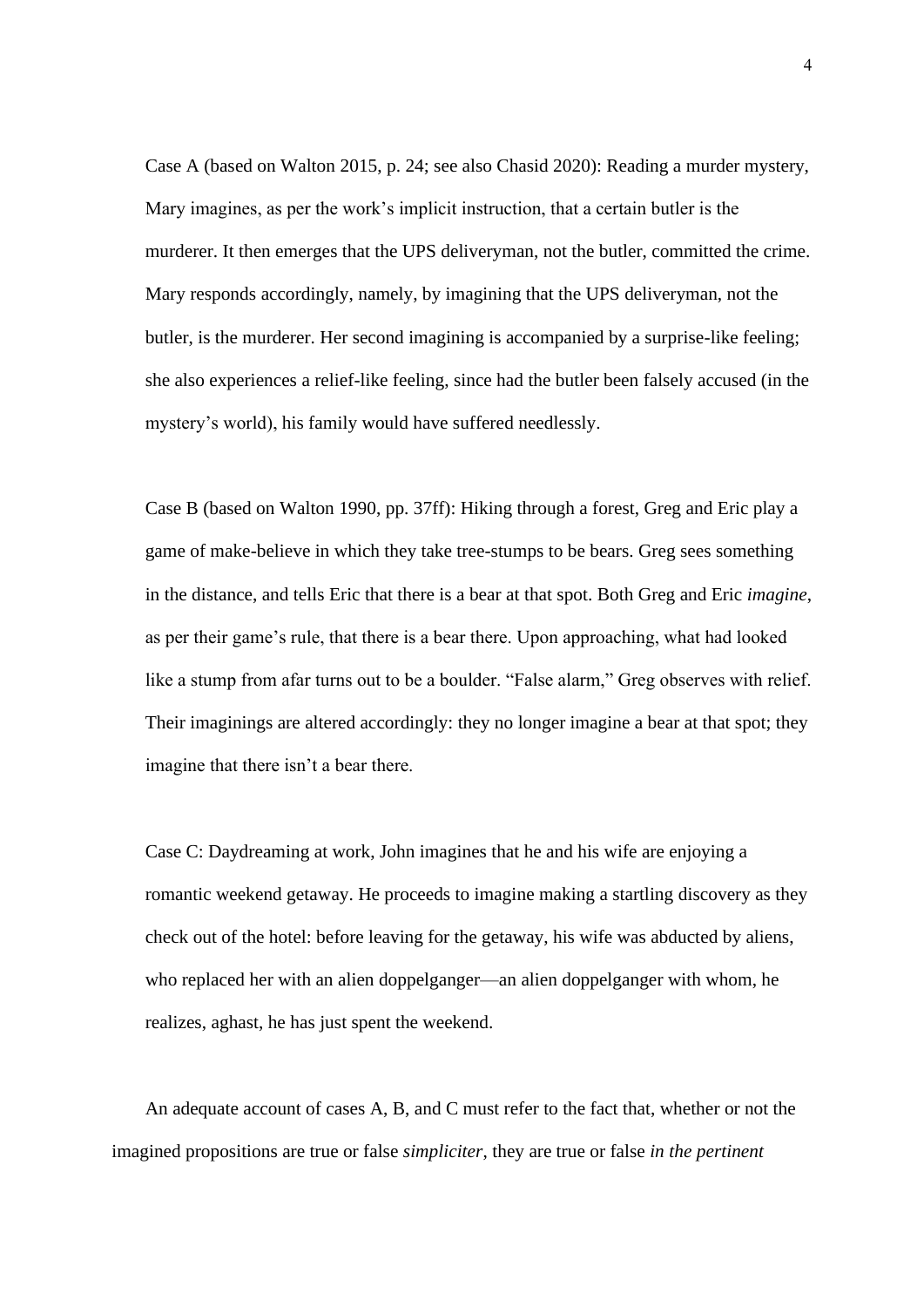Case A (based on Walton 2015, p. 24; see also Chasid 2020): Reading a murder mystery, Mary imagines, as per the work's implicit instruction, that a certain butler is the murderer. It then emerges that the UPS deliveryman, not the butler, committed the crime. Mary responds accordingly, namely, by imagining that the UPS deliveryman, not the butler, is the murderer. Her second imagining is accompanied by a surprise-like feeling; she also experiences a relief-like feeling, since had the butler been falsely accused (in the mystery's world), his family would have suffered needlessly.

Case B (based on Walton 1990, pp. 37ff): Hiking through a forest, Greg and Eric play a game of make-believe in which they take tree-stumps to be bears. Greg sees something in the distance, and tells Eric that there is a bear at that spot. Both Greg and Eric *imagine*, as per their game's rule, that there is a bear there. Upon approaching, what had looked like a stump from afar turns out to be a boulder. "False alarm," Greg observes with relief. Their imaginings are altered accordingly: they no longer imagine a bear at that spot; they imagine that there isn't a bear there.

Case C: Daydreaming at work, John imagines that he and his wife are enjoying a romantic weekend getaway. He proceeds to imagine making a startling discovery as they check out of the hotel: before leaving for the getaway, his wife was abducted by aliens, who replaced her with an alien doppelganger—an alien doppelganger with whom, he realizes, aghast, he has just spent the weekend.

An adequate account of cases A, B, and C must refer to the fact that, whether or not the imagined propositions are true or false *simpliciter*, they are true or false *in the pertinent*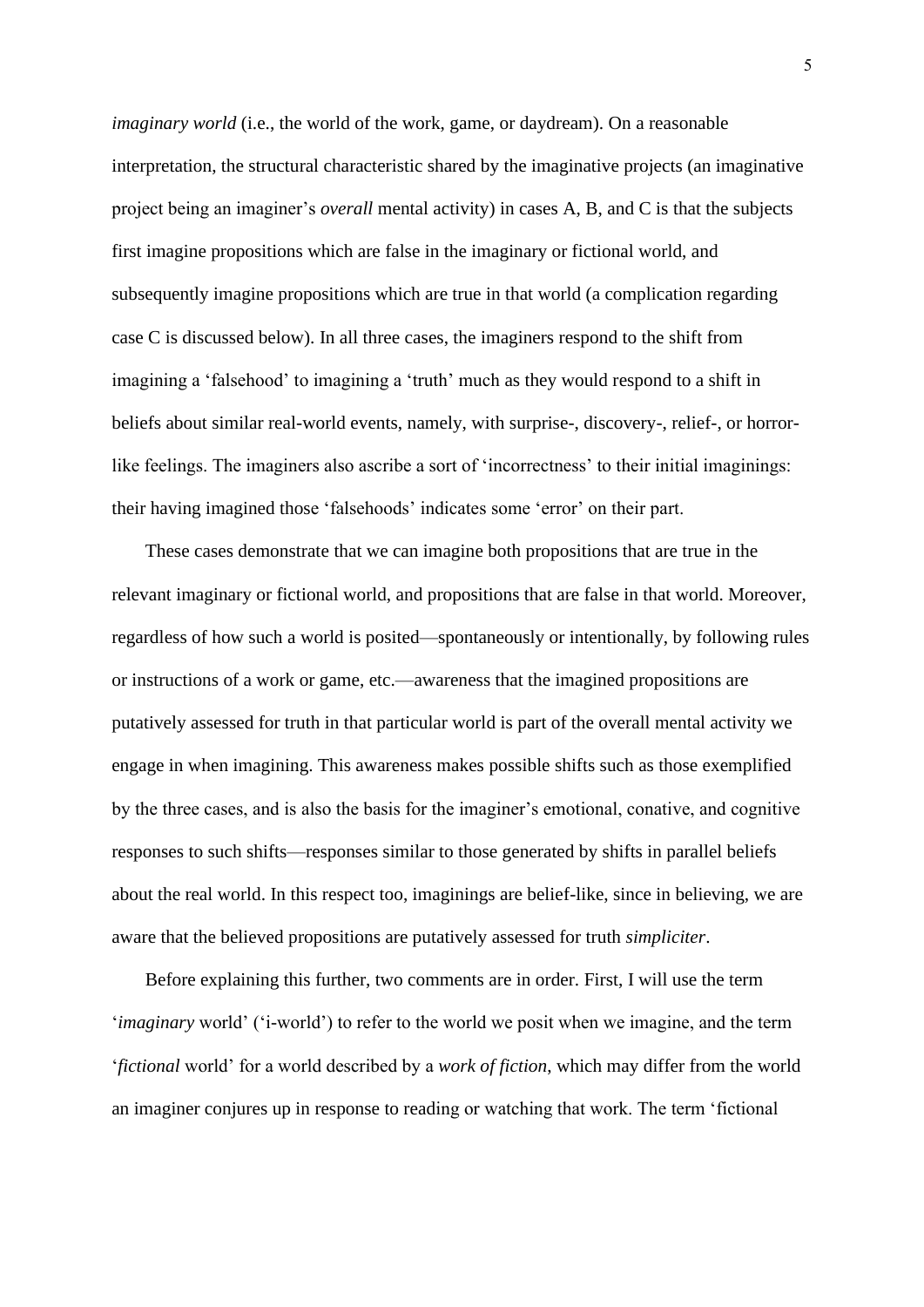*imaginary world* (i.e., the world of the work, game, or daydream). On a reasonable interpretation, the structural characteristic shared by the imaginative projects (an imaginative project being an imaginer's *overall* mental activity) in cases A, B, and C is that the subjects first imagine propositions which are false in the imaginary or fictional world, and subsequently imagine propositions which are true in that world (a complication regarding case C is discussed below). In all three cases, the imaginers respond to the shift from imagining a 'falsehood' to imagining a 'truth' much as they would respond to a shift in beliefs about similar real-world events, namely, with surprise-, discovery-, relief-, or horrorlike feelings. The imaginers also ascribe a sort of 'incorrectness' to their initial imaginings: their having imagined those 'falsehoods' indicates some 'error' on their part.

These cases demonstrate that we can imagine both propositions that are true in the relevant imaginary or fictional world, and propositions that are false in that world. Moreover, regardless of how such a world is posited—spontaneously or intentionally, by following rules or instructions of a work or game, etc.—awareness that the imagined propositions are putatively assessed for truth in that particular world is part of the overall mental activity we engage in when imagining. This awareness makes possible shifts such as those exemplified by the three cases, and is also the basis for the imaginer's emotional, conative, and cognitive responses to such shifts—responses similar to those generated by shifts in parallel beliefs about the real world. In this respect too, imaginings are belief-like, since in believing, we are aware that the believed propositions are putatively assessed for truth *simpliciter*.

Before explaining this further, two comments are in order. First, I will use the term '*imaginary* world' ('i-world') to refer to the world we posit when we imagine, and the term '*fictional* world' for a world described by a *work of fiction*, which may differ from the world an imaginer conjures up in response to reading or watching that work. The term 'fictional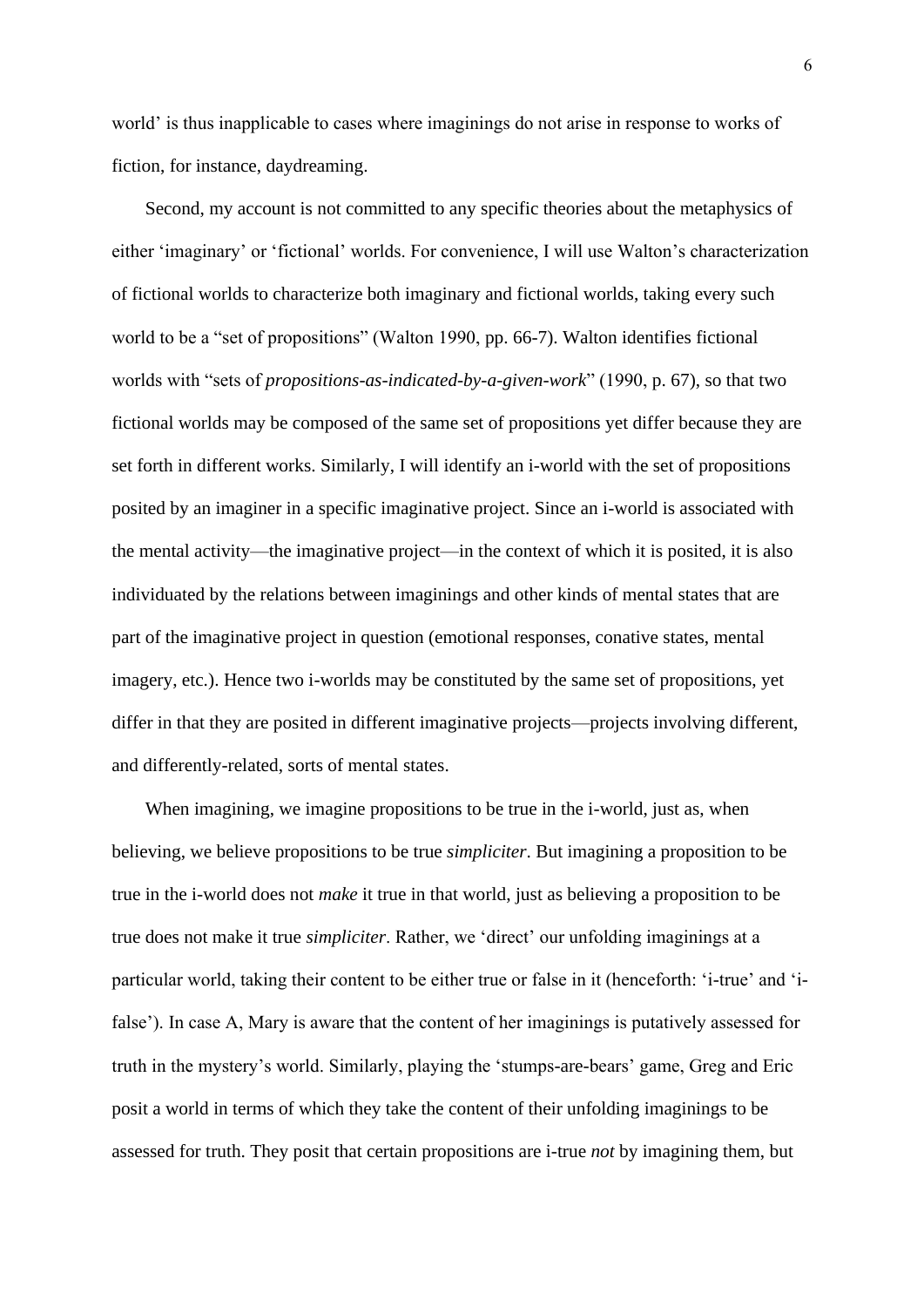world' is thus inapplicable to cases where imaginings do not arise in response to works of fiction, for instance, daydreaming.

Second, my account is not committed to any specific theories about the metaphysics of either 'imaginary' or 'fictional' worlds. For convenience, I will use Walton's characterization of fictional worlds to characterize both imaginary and fictional worlds, taking every such world to be a "set of propositions" (Walton 1990, pp. 66-7). Walton identifies fictional worlds with "sets of *propositions-as-indicated-by-a-given-work*" (1990, p. 67), so that two fictional worlds may be composed of the same set of propositions yet differ because they are set forth in different works. Similarly, I will identify an i-world with the set of propositions posited by an imaginer in a specific imaginative project. Since an i-world is associated with the mental activity—the imaginative project—in the context of which it is posited, it is also individuated by the relations between imaginings and other kinds of mental states that are part of the imaginative project in question (emotional responses, conative states, mental imagery, etc.). Hence two i-worlds may be constituted by the same set of propositions, yet differ in that they are posited in different imaginative projects—projects involving different, and differently-related, sorts of mental states.

When imagining, we imagine propositions to be true in the *i*-world, just as, when believing, we believe propositions to be true *simpliciter*. But imagining a proposition to be true in the i-world does not *make* it true in that world, just as believing a proposition to be true does not make it true *simpliciter*. Rather, we 'direct' our unfolding imaginings at a particular world, taking their content to be either true or false in it (henceforth: 'i-true' and 'ifalse'). In case A, Mary is aware that the content of her imaginings is putatively assessed for truth in the mystery's world. Similarly, playing the 'stumps-are-bears' game, Greg and Eric posit a world in terms of which they take the content of their unfolding imaginings to be assessed for truth. They posit that certain propositions are i-true *not* by imagining them, but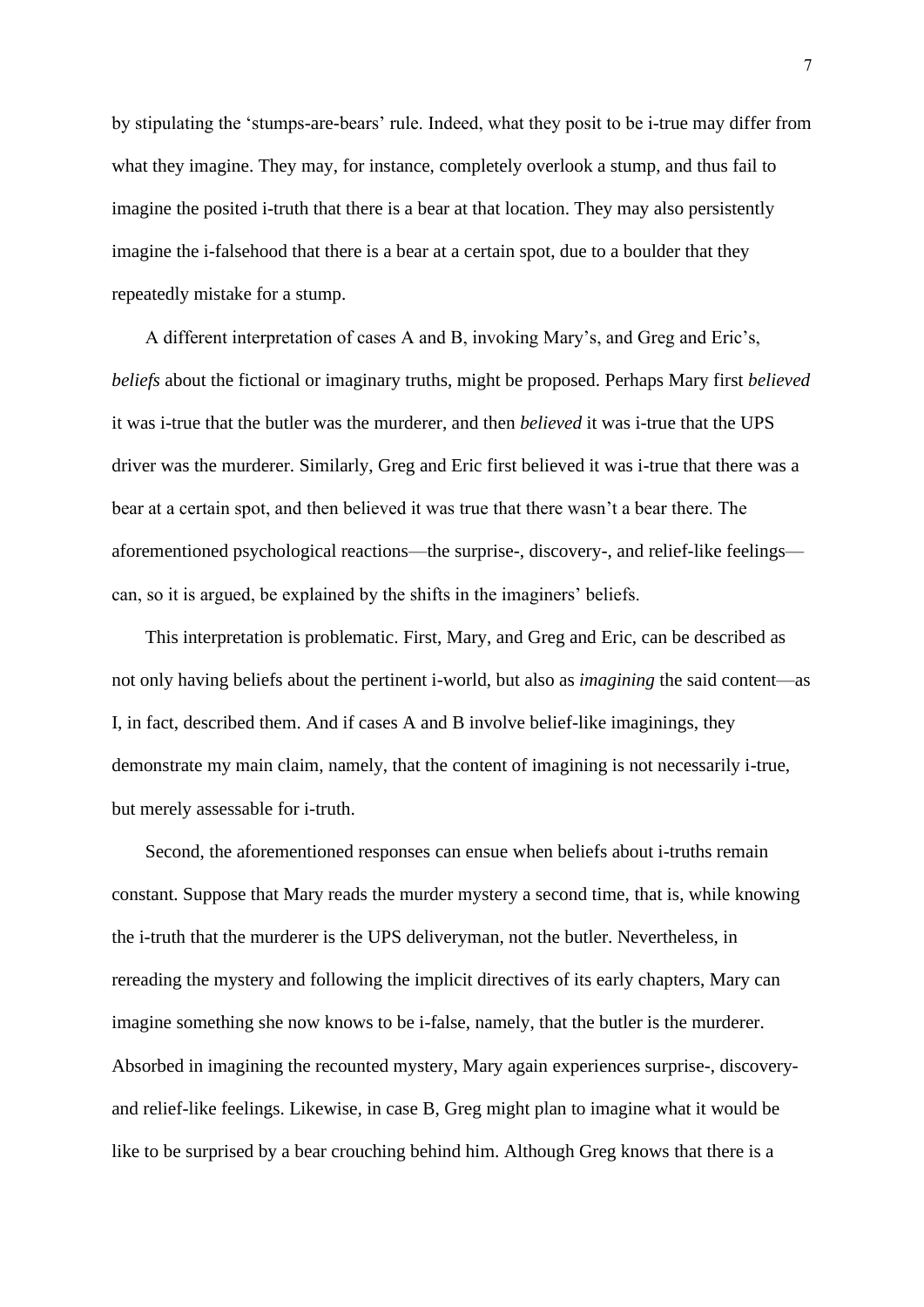by stipulating the 'stumps-are-bears' rule. Indeed, what they posit to be i-true may differ from what they imagine. They may, for instance, completely overlook a stump, and thus fail to imagine the posited i-truth that there is a bear at that location. They may also persistently imagine the i-falsehood that there is a bear at a certain spot, due to a boulder that they repeatedly mistake for a stump.

A different interpretation of cases A and B, invoking Mary's, and Greg and Eric's, *beliefs* about the fictional or imaginary truths, might be proposed. Perhaps Mary first *believed* it was i-true that the butler was the murderer, and then *believed* it was i-true that the UPS driver was the murderer. Similarly, Greg and Eric first believed it was i-true that there was a bear at a certain spot, and then believed it was true that there wasn't a bear there. The aforementioned psychological reactions—the surprise-, discovery-, and relief-like feelings can, so it is argued, be explained by the shifts in the imaginers' beliefs.

This interpretation is problematic. First, Mary, and Greg and Eric, can be described as not only having beliefs about the pertinent i-world, but also as *imagining* the said content—as I, in fact, described them. And if cases A and B involve belief-like imaginings, they demonstrate my main claim, namely, that the content of imagining is not necessarily i-true, but merely assessable for i-truth.

Second, the aforementioned responses can ensue when beliefs about i-truths remain constant. Suppose that Mary reads the murder mystery a second time, that is, while knowing the i-truth that the murderer is the UPS deliveryman, not the butler. Nevertheless, in rereading the mystery and following the implicit directives of its early chapters, Mary can imagine something she now knows to be i-false, namely, that the butler is the murderer. Absorbed in imagining the recounted mystery, Mary again experiences surprise-, discoveryand relief-like feelings. Likewise, in case B, Greg might plan to imagine what it would be like to be surprised by a bear crouching behind him. Although Greg knows that there is a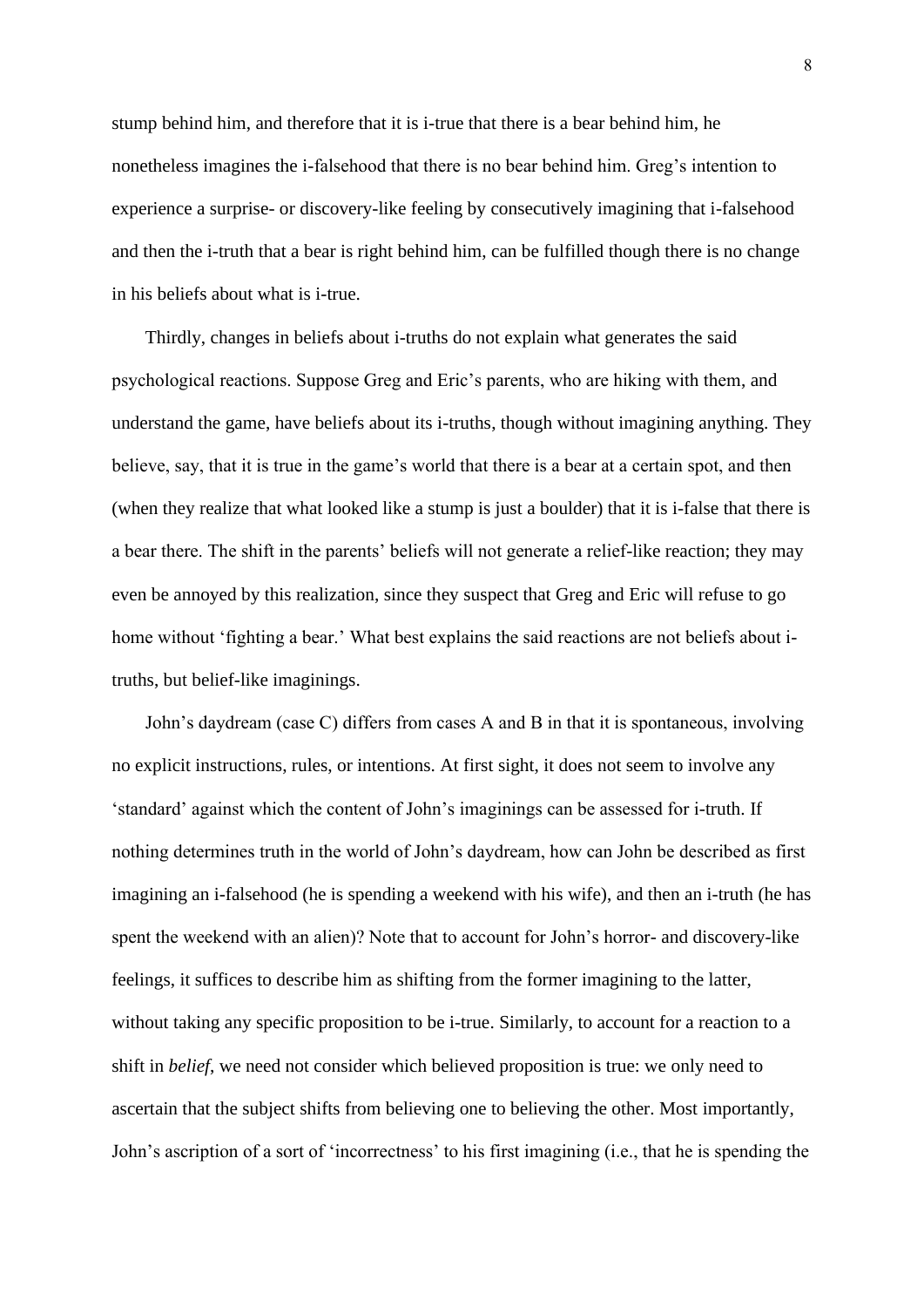stump behind him, and therefore that it is i-true that there is a bear behind him, he nonetheless imagines the i-falsehood that there is no bear behind him. Greg's intention to experience a surprise- or discovery-like feeling by consecutively imagining that i-falsehood and then the i-truth that a bear is right behind him, can be fulfilled though there is no change in his beliefs about what is i-true.

Thirdly, changes in beliefs about i-truths do not explain what generates the said psychological reactions. Suppose Greg and Eric's parents, who are hiking with them, and understand the game, have beliefs about its i-truths, though without imagining anything. They believe, say, that it is true in the game's world that there is a bear at a certain spot, and then (when they realize that what looked like a stump is just a boulder) that it is i-false that there is a bear there. The shift in the parents' beliefs will not generate a relief-like reaction; they may even be annoyed by this realization, since they suspect that Greg and Eric will refuse to go home without 'fighting a bear.' What best explains the said reactions are not beliefs about itruths, but belief-like imaginings.

John's daydream (case C) differs from cases A and B in that it is spontaneous, involving no explicit instructions, rules, or intentions. At first sight, it does not seem to involve any 'standard' against which the content of John's imaginings can be assessed for i-truth. If nothing determines truth in the world of John's daydream, how can John be described as first imagining an i-falsehood (he is spending a weekend with his wife), and then an i-truth (he has spent the weekend with an alien)? Note that to account for John's horror- and discovery-like feelings, it suffices to describe him as shifting from the former imagining to the latter, without taking any specific proposition to be i-true. Similarly, to account for a reaction to a shift in *belief*, we need not consider which believed proposition is true: we only need to ascertain that the subject shifts from believing one to believing the other. Most importantly, John's ascription of a sort of 'incorrectness' to his first imagining (i.e., that he is spending the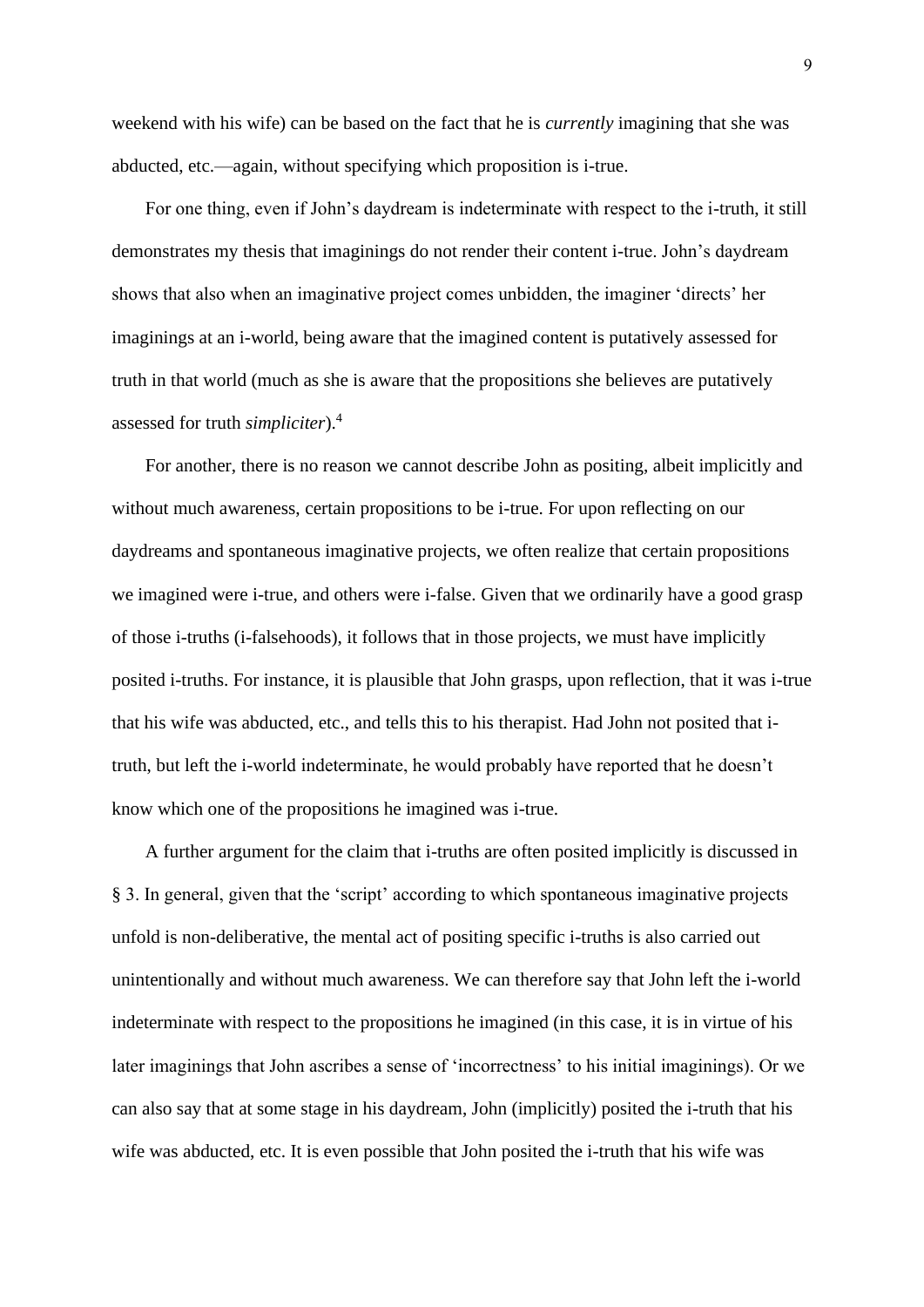weekend with his wife) can be based on the fact that he is *currently* imagining that she was abducted, etc.—again, without specifying which proposition is i-true.

For one thing, even if John's daydream is indeterminate with respect to the i-truth, it still demonstrates my thesis that imaginings do not render their content i-true. John's daydream shows that also when an imaginative project comes unbidden, the imaginer 'directs' her imaginings at an i-world, being aware that the imagined content is putatively assessed for truth in that world (much as she is aware that the propositions she believes are putatively assessed for truth *simpliciter*).<sup>4</sup>

For another, there is no reason we cannot describe John as positing, albeit implicitly and without much awareness, certain propositions to be i-true. For upon reflecting on our daydreams and spontaneous imaginative projects, we often realize that certain propositions we imagined were i-true, and others were i-false. Given that we ordinarily have a good grasp of those i-truths (i-falsehoods), it follows that in those projects, we must have implicitly posited i-truths. For instance, it is plausible that John grasps, upon reflection, that it was i-true that his wife was abducted, etc., and tells this to his therapist. Had John not posited that itruth, but left the i-world indeterminate, he would probably have reported that he doesn't know which one of the propositions he imagined was i-true.

A further argument for the claim that i-truths are often posited implicitly is discussed in § 3. In general, given that the 'script' according to which spontaneous imaginative projects unfold is non-deliberative, the mental act of positing specific i-truths is also carried out unintentionally and without much awareness. We can therefore say that John left the i-world indeterminate with respect to the propositions he imagined (in this case, it is in virtue of his later imaginings that John ascribes a sense of 'incorrectness' to his initial imaginings). Or we can also say that at some stage in his daydream, John (implicitly) posited the i-truth that his wife was abducted, etc. It is even possible that John posited the i-truth that his wife was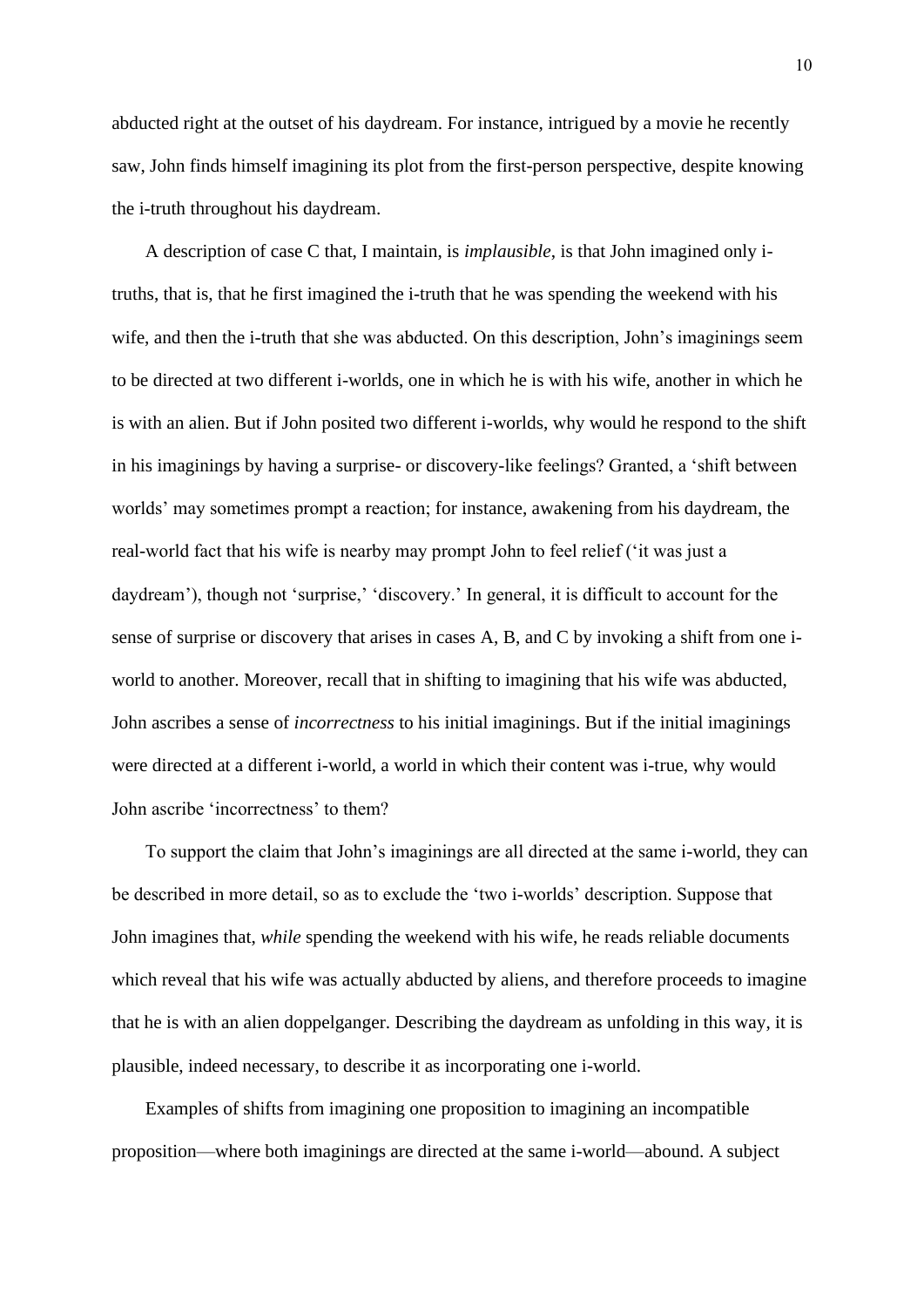abducted right at the outset of his daydream. For instance, intrigued by a movie he recently saw, John finds himself imagining its plot from the first-person perspective, despite knowing the i-truth throughout his daydream.

A description of case C that, I maintain, is *implausible*, is that John imagined only itruths, that is, that he first imagined the i-truth that he was spending the weekend with his wife, and then the i-truth that she was abducted. On this description, John's imaginings seem to be directed at two different i-worlds, one in which he is with his wife, another in which he is with an alien. But if John posited two different i-worlds, why would he respond to the shift in his imaginings by having a surprise- or discovery-like feelings? Granted, a 'shift between worlds' may sometimes prompt a reaction; for instance, awakening from his daydream, the real-world fact that his wife is nearby may prompt John to feel relief ('it was just a daydream'), though not 'surprise,' 'discovery.' In general, it is difficult to account for the sense of surprise or discovery that arises in cases A, B, and C by invoking a shift from one iworld to another. Moreover, recall that in shifting to imagining that his wife was abducted, John ascribes a sense of *incorrectness* to his initial imaginings. But if the initial imaginings were directed at a different i-world, a world in which their content was i-true, why would John ascribe 'incorrectness' to them?

To support the claim that John's imaginings are all directed at the same i-world, they can be described in more detail, so as to exclude the 'two i-worlds' description. Suppose that John imagines that, *while* spending the weekend with his wife, he reads reliable documents which reveal that his wife was actually abducted by aliens, and therefore proceeds to imagine that he is with an alien doppelganger. Describing the daydream as unfolding in this way, it is plausible, indeed necessary, to describe it as incorporating one i-world.

Examples of shifts from imagining one proposition to imagining an incompatible proposition—where both imaginings are directed at the same i-world—abound. A subject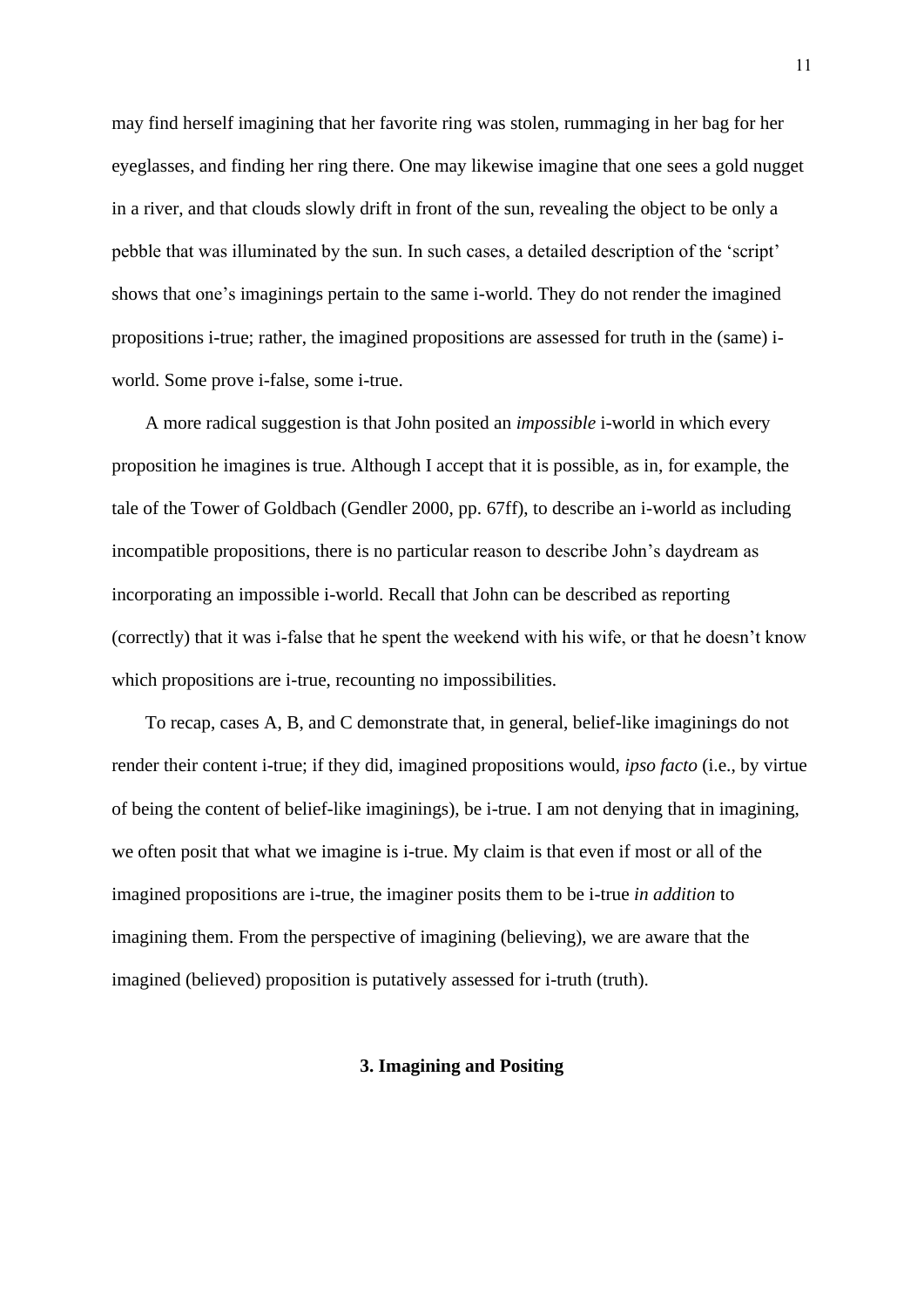may find herself imagining that her favorite ring was stolen, rummaging in her bag for her eyeglasses, and finding her ring there. One may likewise imagine that one sees a gold nugget in a river, and that clouds slowly drift in front of the sun, revealing the object to be only a pebble that was illuminated by the sun. In such cases, a detailed description of the 'script' shows that one's imaginings pertain to the same i-world. They do not render the imagined propositions i-true; rather, the imagined propositions are assessed for truth in the (same) iworld. Some prove i-false, some i-true.

A more radical suggestion is that John posited an *impossible* i-world in which every proposition he imagines is true. Although I accept that it is possible, as in, for example, the tale of the Tower of Goldbach (Gendler 2000, pp. 67ff), to describe an i-world as including incompatible propositions, there is no particular reason to describe John's daydream as incorporating an impossible i-world. Recall that John can be described as reporting (correctly) that it was i-false that he spent the weekend with his wife, or that he doesn't know which propositions are *i*-true, recounting no impossibilities.

To recap, cases A, B, and C demonstrate that, in general, belief-like imaginings do not render their content i-true; if they did, imagined propositions would, *ipso facto* (i.e., by virtue of being the content of belief-like imaginings), be i-true. I am not denying that in imagining, we often posit that what we imagine is i-true. My claim is that even if most or all of the imagined propositions are i-true, the imaginer posits them to be i-true *in addition* to imagining them. From the perspective of imagining (believing), we are aware that the imagined (believed) proposition is putatively assessed for i-truth (truth).

## **3. Imagining and Positing**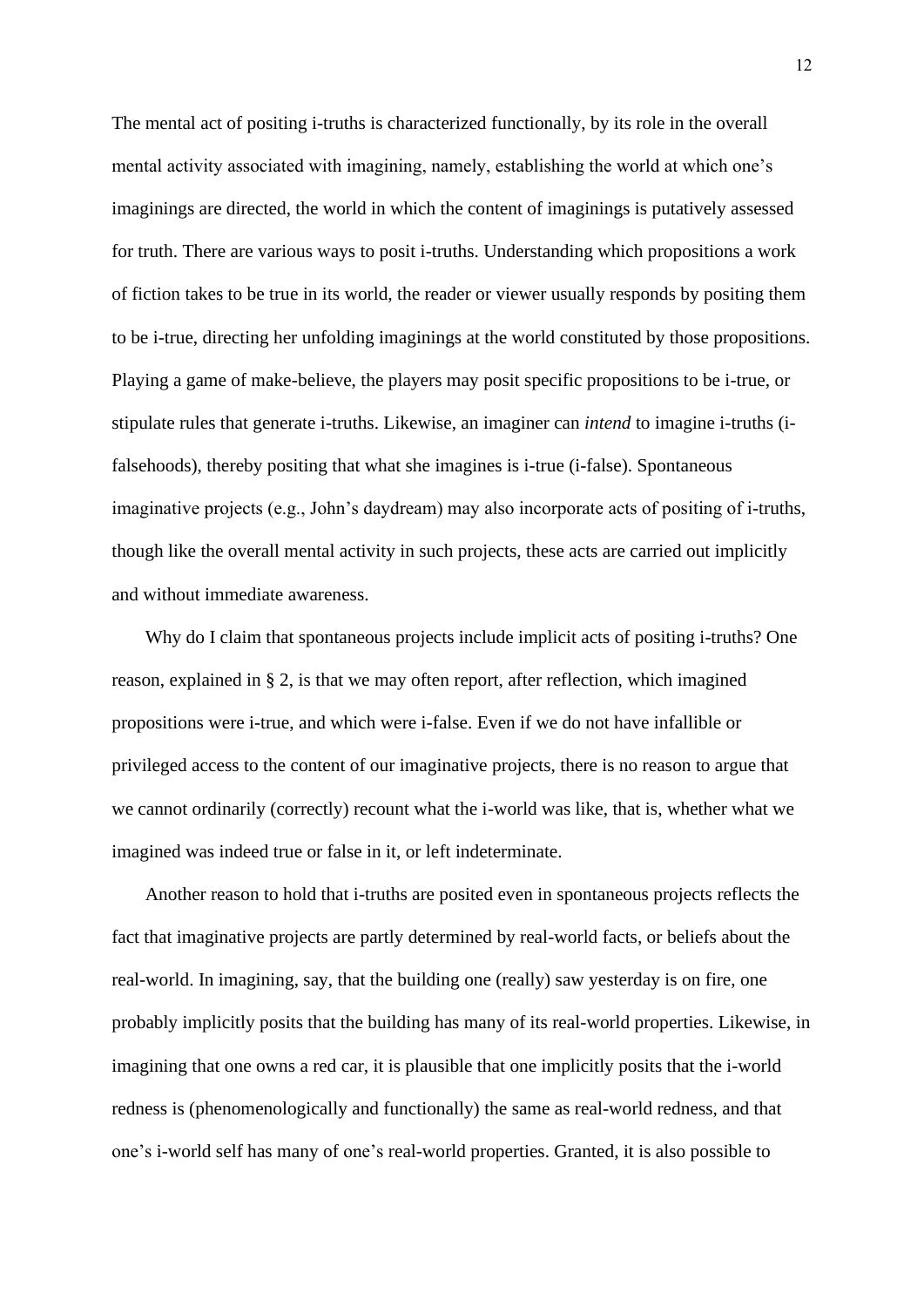The mental act of positing i-truths is characterized functionally, by its role in the overall mental activity associated with imagining, namely, establishing the world at which one's imaginings are directed, the world in which the content of imaginings is putatively assessed for truth. There are various ways to posit i-truths. Understanding which propositions a work of fiction takes to be true in its world, the reader or viewer usually responds by positing them to be i-true, directing her unfolding imaginings at the world constituted by those propositions. Playing a game of make-believe, the players may posit specific propositions to be i-true, or stipulate rules that generate i-truths. Likewise, an imaginer can *intend* to imagine i-truths (ifalsehoods), thereby positing that what she imagines is i-true (i-false). Spontaneous imaginative projects (e.g., John's daydream) may also incorporate acts of positing of i-truths, though like the overall mental activity in such projects, these acts are carried out implicitly and without immediate awareness.

Why do I claim that spontaneous projects include implicit acts of positing i-truths? One reason, explained in § 2, is that we may often report, after reflection, which imagined propositions were i-true, and which were i-false. Even if we do not have infallible or privileged access to the content of our imaginative projects, there is no reason to argue that we cannot ordinarily (correctly) recount what the i-world was like, that is, whether what we imagined was indeed true or false in it, or left indeterminate.

Another reason to hold that i-truths are posited even in spontaneous projects reflects the fact that imaginative projects are partly determined by real-world facts, or beliefs about the real-world. In imagining, say, that the building one (really) saw yesterday is on fire, one probably implicitly posits that the building has many of its real-world properties. Likewise, in imagining that one owns a red car, it is plausible that one implicitly posits that the i-world redness is (phenomenologically and functionally) the same as real-world redness, and that one's i-world self has many of one's real-world properties. Granted, it is also possible to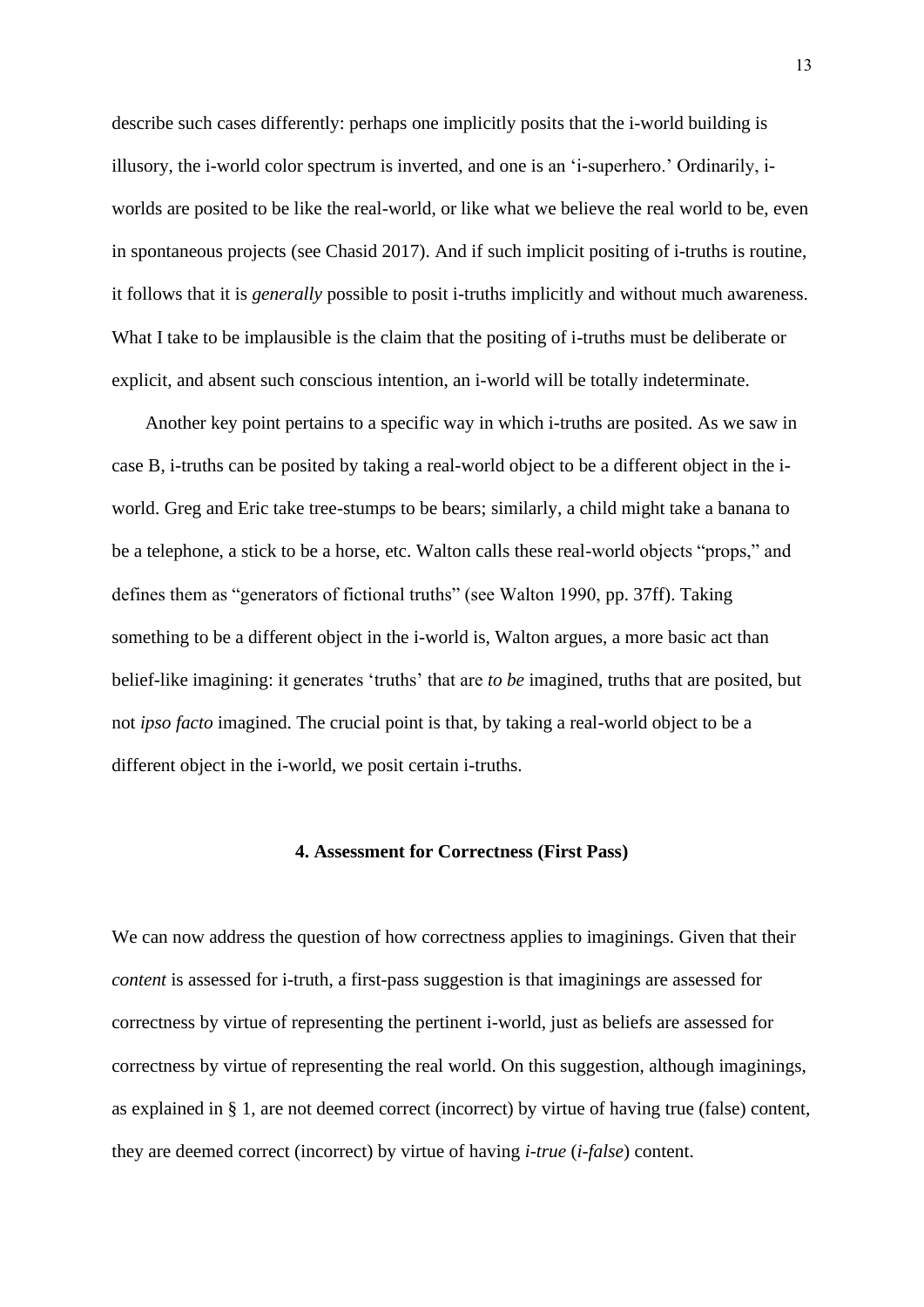describe such cases differently: perhaps one implicitly posits that the i-world building is illusory, the i-world color spectrum is inverted, and one is an 'i-superhero.' Ordinarily, iworlds are posited to be like the real-world, or like what we believe the real world to be, even in spontaneous projects (see Chasid 2017). And if such implicit positing of i-truths is routine, it follows that it is *generally* possible to posit i-truths implicitly and without much awareness. What I take to be implausible is the claim that the positing of i-truths must be deliberate or explicit, and absent such conscious intention, an i-world will be totally indeterminate.

Another key point pertains to a specific way in which i-truths are posited. As we saw in case B, i-truths can be posited by taking a real-world object to be a different object in the iworld. Greg and Eric take tree-stumps to be bears; similarly, a child might take a banana to be a telephone, a stick to be a horse, etc. Walton calls these real-world objects "props," and defines them as "generators of fictional truths" (see Walton 1990, pp. 37ff). Taking something to be a different object in the i-world is, Walton argues, a more basic act than belief-like imagining: it generates 'truths' that are *to be* imagined, truths that are posited, but not *ipso facto* imagined. The crucial point is that, by taking a real-world object to be a different object in the i-world, we posit certain i-truths.

### **4. Assessment for Correctness (First Pass)**

We can now address the question of how correctness applies to imaginings. Given that their *content* is assessed for i-truth, a first-pass suggestion is that imaginings are assessed for correctness by virtue of representing the pertinent i-world, just as beliefs are assessed for correctness by virtue of representing the real world. On this suggestion, although imaginings, as explained in § 1, are not deemed correct (incorrect) by virtue of having true (false) content, they are deemed correct (incorrect) by virtue of having *i-true* (*i-false*) content.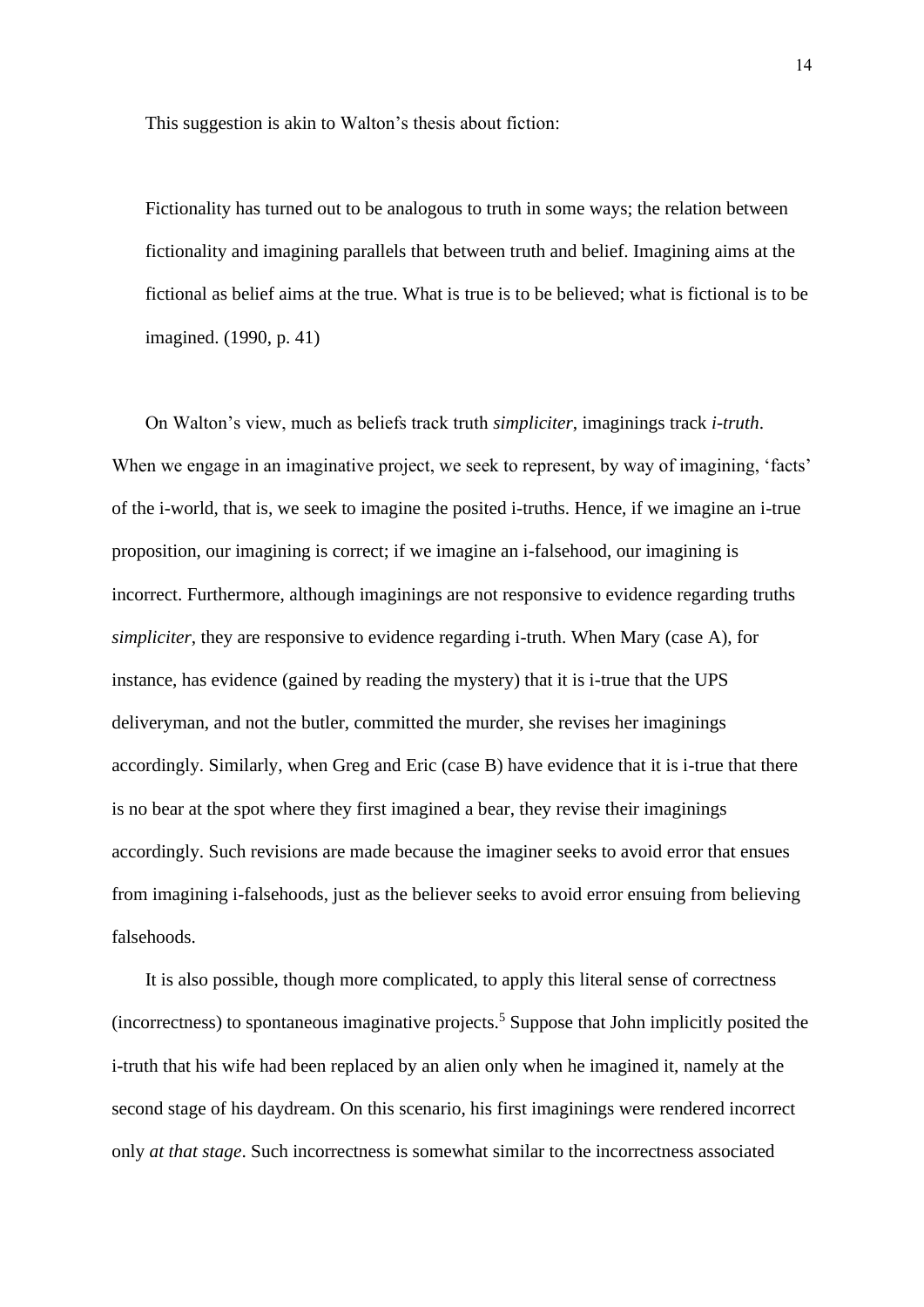This suggestion is akin to Walton's thesis about fiction:

Fictionality has turned out to be analogous to truth in some ways; the relation between fictionality and imagining parallels that between truth and belief. Imagining aims at the fictional as belief aims at the true. What is true is to be believed; what is fictional is to be imagined. (1990, p. 41)

On Walton's view, much as beliefs track truth *simpliciter*, imaginings track *i-truth*. When we engage in an imaginative project, we seek to represent, by way of imagining, 'facts' of the i-world, that is, we seek to imagine the posited i-truths. Hence, if we imagine an i-true proposition, our imagining is correct; if we imagine an i-falsehood, our imagining is incorrect. Furthermore, although imaginings are not responsive to evidence regarding truths *simpliciter*, they are responsive to evidence regarding i-truth. When Mary (case A), for instance, has evidence (gained by reading the mystery) that it is i-true that the UPS deliveryman, and not the butler, committed the murder, she revises her imaginings accordingly. Similarly, when Greg and Eric (case B) have evidence that it is i-true that there is no bear at the spot where they first imagined a bear, they revise their imaginings accordingly. Such revisions are made because the imaginer seeks to avoid error that ensues from imagining i-falsehoods, just as the believer seeks to avoid error ensuing from believing falsehoods.

It is also possible, though more complicated, to apply this literal sense of correctness (incorrectness) to spontaneous imaginative projects.<sup>5</sup> Suppose that John implicitly posited the i-truth that his wife had been replaced by an alien only when he imagined it, namely at the second stage of his daydream. On this scenario, his first imaginings were rendered incorrect only *at that stage*. Such incorrectness is somewhat similar to the incorrectness associated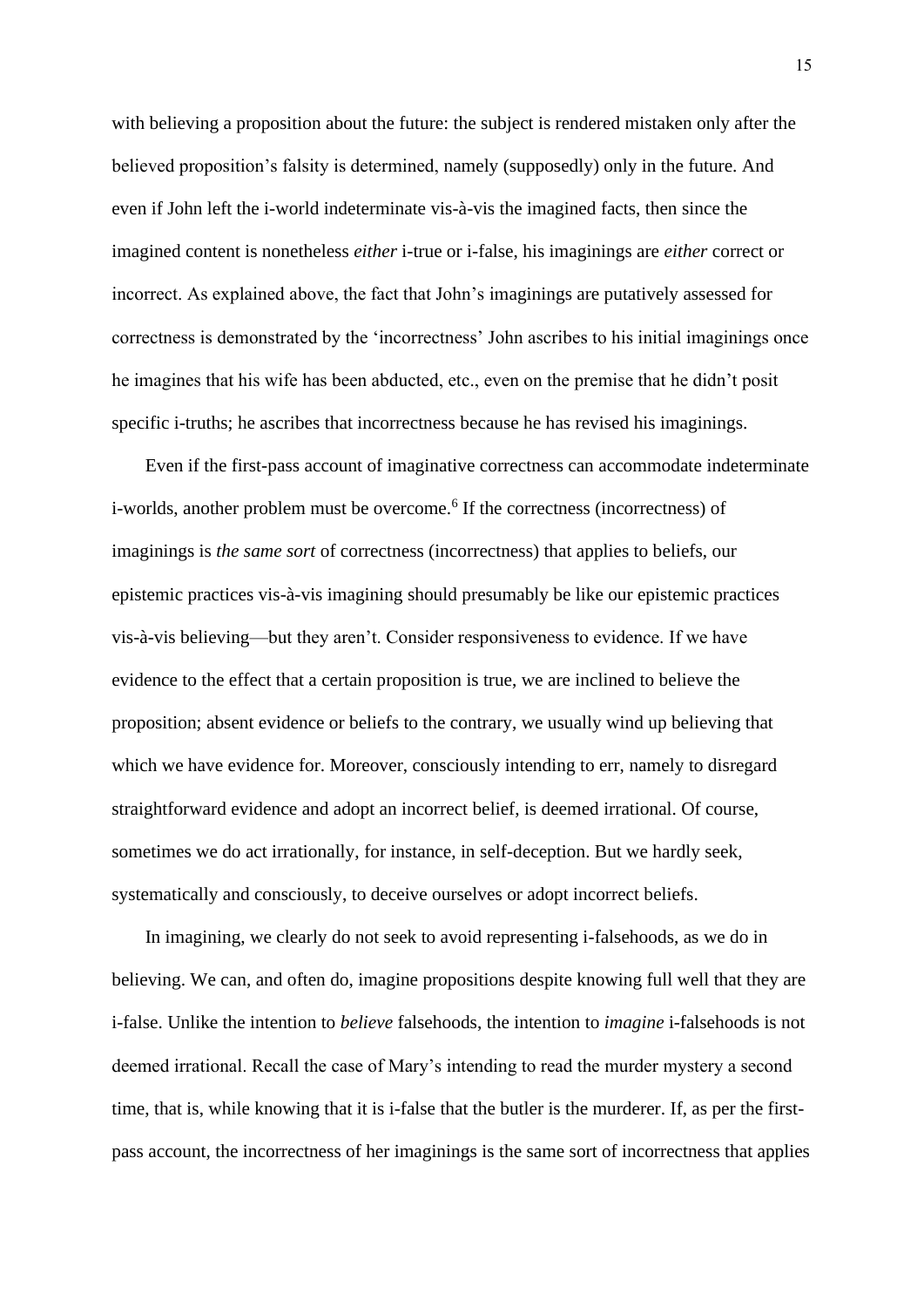with believing a proposition about the future: the subject is rendered mistaken only after the believed proposition's falsity is determined, namely (supposedly) only in the future. And even if John left the i-world indeterminate vis-à-vis the imagined facts, then since the imagined content is nonetheless *either* i-true or i-false, his imaginings are *either* correct or incorrect. As explained above, the fact that John's imaginings are putatively assessed for correctness is demonstrated by the 'incorrectness' John ascribes to his initial imaginings once he imagines that his wife has been abducted, etc., even on the premise that he didn't posit specific i-truths; he ascribes that incorrectness because he has revised his imaginings.

Even if the first-pass account of imaginative correctness can accommodate indeterminate i-worlds, another problem must be overcome.<sup>6</sup> If the correctness (incorrectness) of imaginings is *the same sort* of correctness (incorrectness) that applies to beliefs, our epistemic practices vis-à-vis imagining should presumably be like our epistemic practices vis-à-vis believing—but they aren't. Consider responsiveness to evidence. If we have evidence to the effect that a certain proposition is true, we are inclined to believe the proposition; absent evidence or beliefs to the contrary, we usually wind up believing that which we have evidence for. Moreover, consciously intending to err, namely to disregard straightforward evidence and adopt an incorrect belief, is deemed irrational. Of course, sometimes we do act irrationally, for instance, in self-deception. But we hardly seek, systematically and consciously, to deceive ourselves or adopt incorrect beliefs.

In imagining, we clearly do not seek to avoid representing i-falsehoods, as we do in believing. We can, and often do, imagine propositions despite knowing full well that they are i-false. Unlike the intention to *believe* falsehoods, the intention to *imagine* i-falsehoods is not deemed irrational. Recall the case of Mary's intending to read the murder mystery a second time, that is, while knowing that it is i-false that the butler is the murderer. If, as per the firstpass account, the incorrectness of her imaginings is the same sort of incorrectness that applies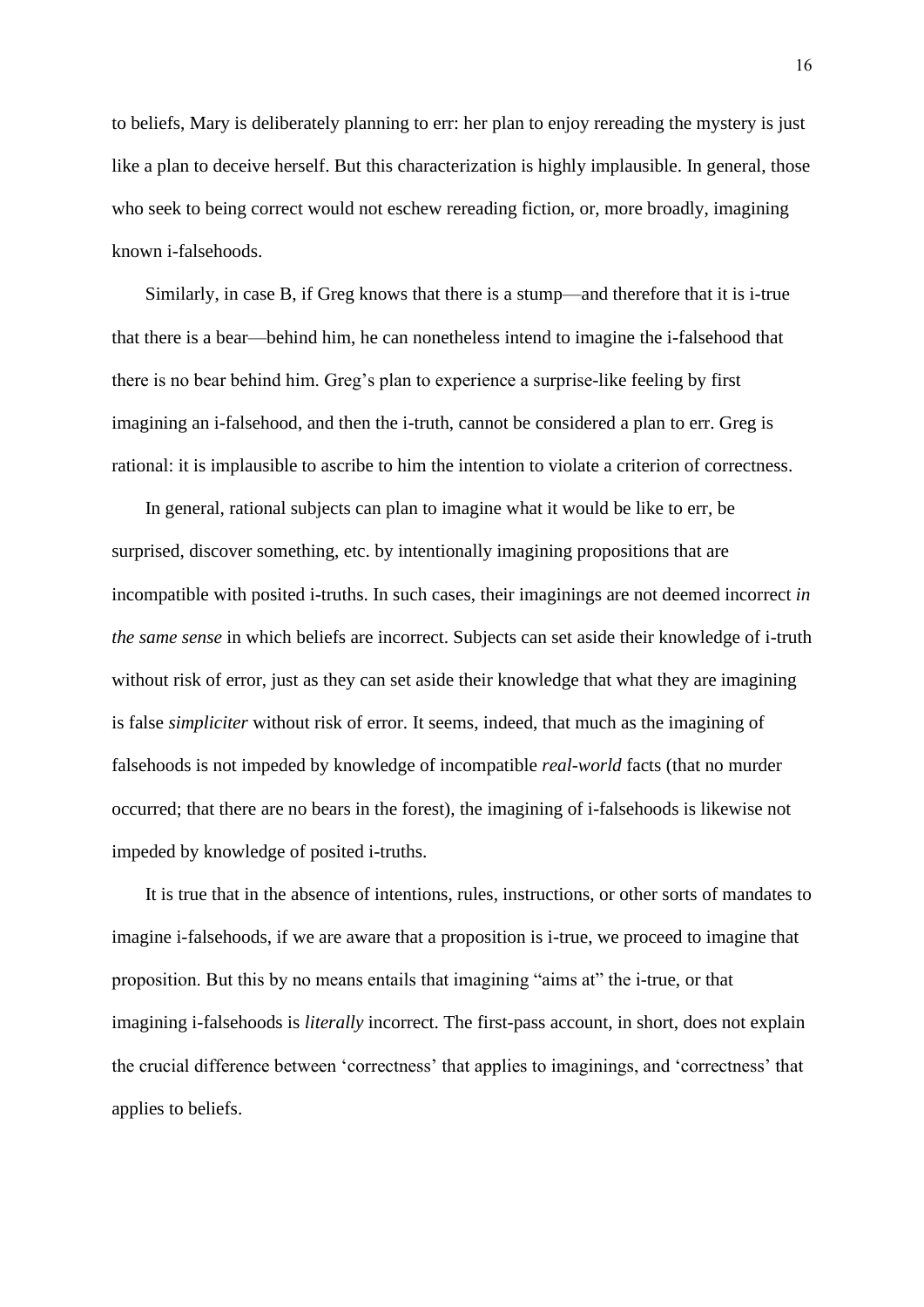to beliefs, Mary is deliberately planning to err: her plan to enjoy rereading the mystery is just like a plan to deceive herself. But this characterization is highly implausible. In general, those who seek to being correct would not eschew rereading fiction, or, more broadly, imagining known i-falsehoods.

Similarly, in case B, if Greg knows that there is a stump—and therefore that it is i-true that there is a bear—behind him, he can nonetheless intend to imagine the i-falsehood that there is no bear behind him. Greg's plan to experience a surprise-like feeling by first imagining an i-falsehood, and then the i-truth, cannot be considered a plan to err. Greg is rational: it is implausible to ascribe to him the intention to violate a criterion of correctness.

In general, rational subjects can plan to imagine what it would be like to err, be surprised, discover something, etc. by intentionally imagining propositions that are incompatible with posited i-truths. In such cases, their imaginings are not deemed incorrect *in the same sense* in which beliefs are incorrect. Subjects can set aside their knowledge of i-truth without risk of error, just as they can set aside their knowledge that what they are imagining is false *simpliciter* without risk of error. It seems, indeed, that much as the imagining of falsehoods is not impeded by knowledge of incompatible *real-world* facts (that no murder occurred; that there are no bears in the forest), the imagining of i-falsehoods is likewise not impeded by knowledge of posited i-truths.

It is true that in the absence of intentions, rules, instructions, or other sorts of mandates to imagine i-falsehoods, if we are aware that a proposition is i-true, we proceed to imagine that proposition. But this by no means entails that imagining "aims at" the i-true, or that imagining i-falsehoods is *literally* incorrect. The first-pass account, in short, does not explain the crucial difference between 'correctness' that applies to imaginings, and 'correctness' that applies to beliefs.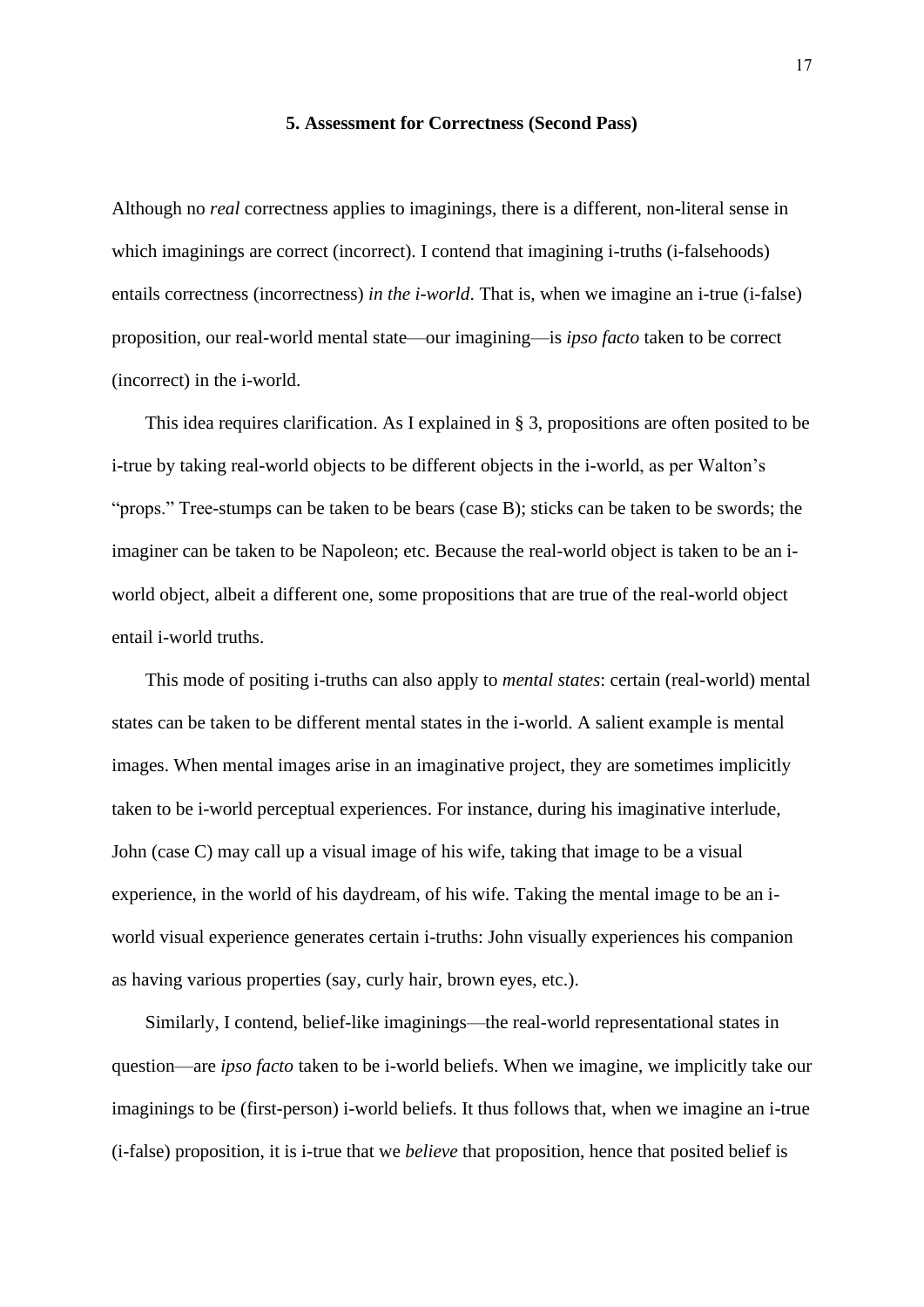### **5. Assessment for Correctness (Second Pass)**

Although no *real* correctness applies to imaginings, there is a different, non-literal sense in which imaginings are correct (incorrect). I contend that imagining i-truths (i-falsehoods) entails correctness (incorrectness) *in the i-world*. That is, when we imagine an i-true (i-false) proposition, our real-world mental state—our imagining—is *ipso facto* taken to be correct (incorrect) in the i-world.

This idea requires clarification. As I explained in § 3, propositions are often posited to be i-true by taking real-world objects to be different objects in the i-world, as per Walton's "props." Tree-stumps can be taken to be bears (case B); sticks can be taken to be swords; the imaginer can be taken to be Napoleon; etc. Because the real-world object is taken to be an iworld object, albeit a different one, some propositions that are true of the real-world object entail i-world truths.

This mode of positing i-truths can also apply to *mental states*: certain (real-world) mental states can be taken to be different mental states in the i-world. A salient example is mental images. When mental images arise in an imaginative project, they are sometimes implicitly taken to be i-world perceptual experiences. For instance, during his imaginative interlude, John (case C) may call up a visual image of his wife, taking that image to be a visual experience, in the world of his daydream, of his wife. Taking the mental image to be an iworld visual experience generates certain i-truths: John visually experiences his companion as having various properties (say, curly hair, brown eyes, etc.).

Similarly, I contend, belief-like imaginings—the real-world representational states in question—are *ipso facto* taken to be i-world beliefs. When we imagine, we implicitly take our imaginings to be (first-person) i-world beliefs. It thus follows that, when we imagine an i-true (i-false) proposition, it is i-true that we *believe* that proposition, hence that posited belief is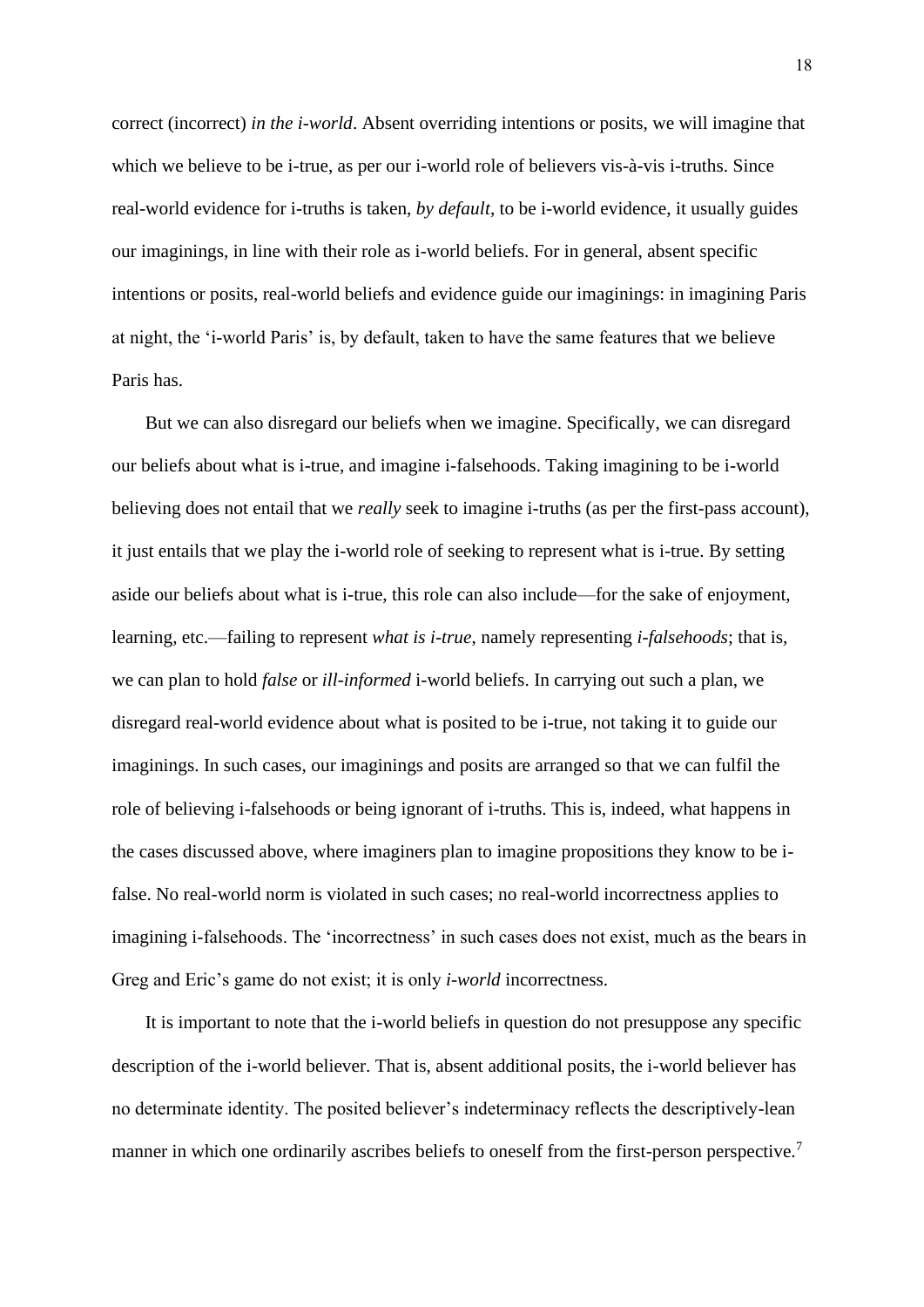correct (incorrect) *in the i-world*. Absent overriding intentions or posits, we will imagine that which we believe to be i-true, as per our i-world role of believers vis-à-vis i-truths. Since real-world evidence for i-truths is taken, *by default*, to be i-world evidence, it usually guides our imaginings, in line with their role as i-world beliefs. For in general, absent specific intentions or posits, real-world beliefs and evidence guide our imaginings: in imagining Paris at night, the 'i-world Paris' is, by default, taken to have the same features that we believe Paris has.

But we can also disregard our beliefs when we imagine. Specifically, we can disregard our beliefs about what is i-true, and imagine i-falsehoods. Taking imagining to be i-world believing does not entail that we *really* seek to imagine i-truths (as per the first-pass account), it just entails that we play the i-world role of seeking to represent what is i-true. By setting aside our beliefs about what is i-true, this role can also include—for the sake of enjoyment, learning, etc.—failing to represent *what is i-true*, namely representing *i-falsehoods*; that is, we can plan to hold *false* or *ill-informed* i-world beliefs. In carrying out such a plan, we disregard real-world evidence about what is posited to be i-true, not taking it to guide our imaginings. In such cases, our imaginings and posits are arranged so that we can fulfil the role of believing i-falsehoods or being ignorant of i-truths. This is, indeed, what happens in the cases discussed above, where imaginers plan to imagine propositions they know to be ifalse. No real-world norm is violated in such cases; no real-world incorrectness applies to imagining i-falsehoods. The 'incorrectness' in such cases does not exist, much as the bears in Greg and Eric's game do not exist; it is only *i-world* incorrectness.

It is important to note that the i-world beliefs in question do not presuppose any specific description of the i-world believer. That is, absent additional posits, the i-world believer has no determinate identity. The posited believer's indeterminacy reflects the descriptively-lean manner in which one ordinarily ascribes beliefs to oneself from the first-person perspective.<sup>7</sup>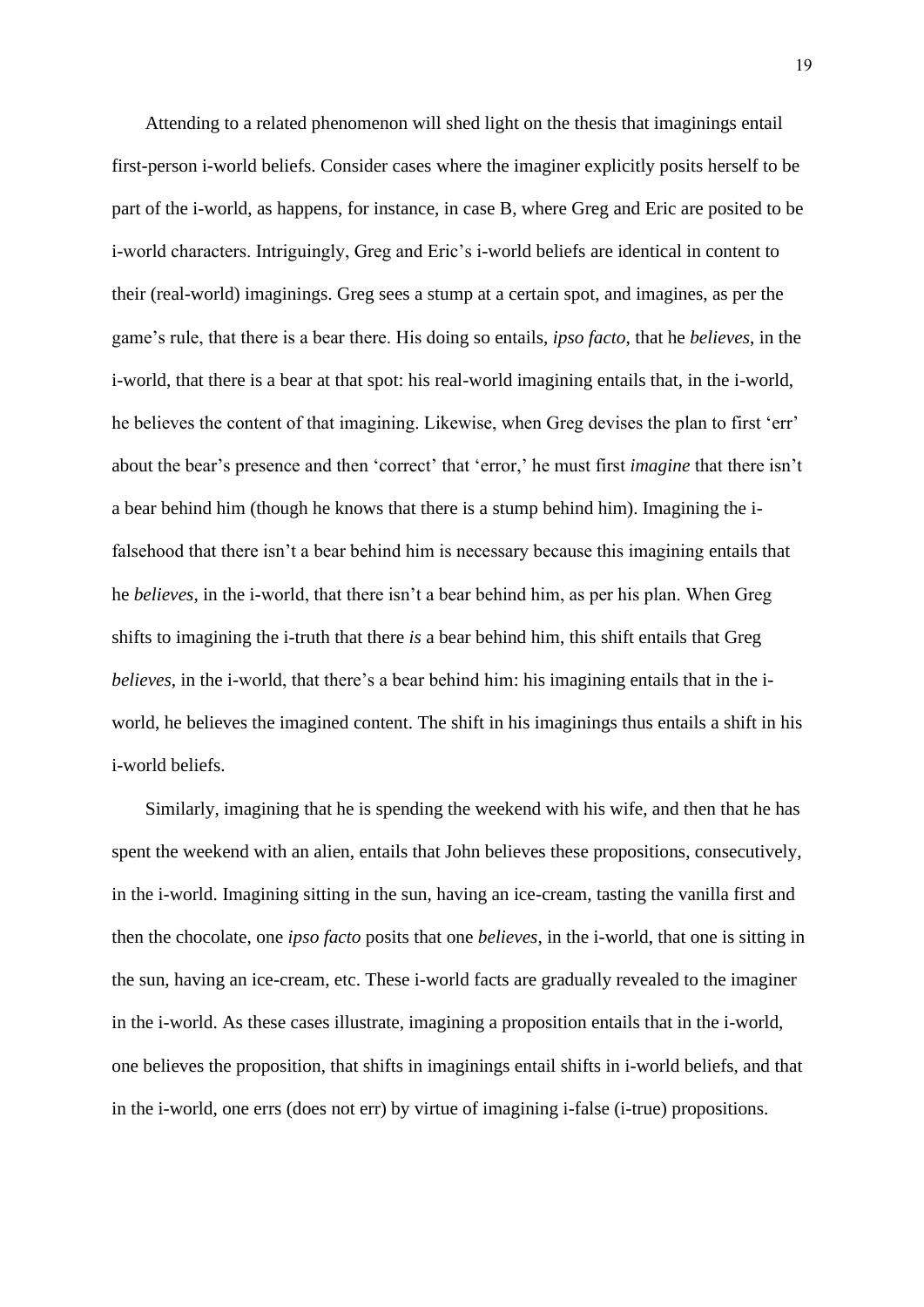Attending to a related phenomenon will shed light on the thesis that imaginings entail first-person i-world beliefs. Consider cases where the imaginer explicitly posits herself to be part of the i-world, as happens, for instance, in case B, where Greg and Eric are posited to be i-world characters. Intriguingly, Greg and Eric's i-world beliefs are identical in content to their (real-world) imaginings. Greg sees a stump at a certain spot, and imagines, as per the game's rule, that there is a bear there. His doing so entails, *ipso facto*, that he *believes*, in the i-world, that there is a bear at that spot: his real-world imagining entails that, in the i-world, he believes the content of that imagining. Likewise, when Greg devises the plan to first 'err' about the bear's presence and then 'correct' that 'error,' he must first *imagine* that there isn't a bear behind him (though he knows that there is a stump behind him). Imagining the ifalsehood that there isn't a bear behind him is necessary because this imagining entails that he *believes*, in the i-world, that there isn't a bear behind him, as per his plan. When Greg shifts to imagining the i-truth that there *is* a bear behind him, this shift entails that Greg *believes*, in the i-world, that there's a bear behind him: his imagining entails that in the iworld, he believes the imagined content. The shift in his imaginings thus entails a shift in his i-world beliefs.

Similarly, imagining that he is spending the weekend with his wife, and then that he has spent the weekend with an alien, entails that John believes these propositions, consecutively, in the i-world. Imagining sitting in the sun, having an ice-cream, tasting the vanilla first and then the chocolate, one *ipso facto* posits that one *believes*, in the i-world, that one is sitting in the sun, having an ice-cream, etc. These i-world facts are gradually revealed to the imaginer in the i-world. As these cases illustrate, imagining a proposition entails that in the i-world, one believes the proposition, that shifts in imaginings entail shifts in i-world beliefs, and that in the i-world, one errs (does not err) by virtue of imagining i-false (i-true) propositions.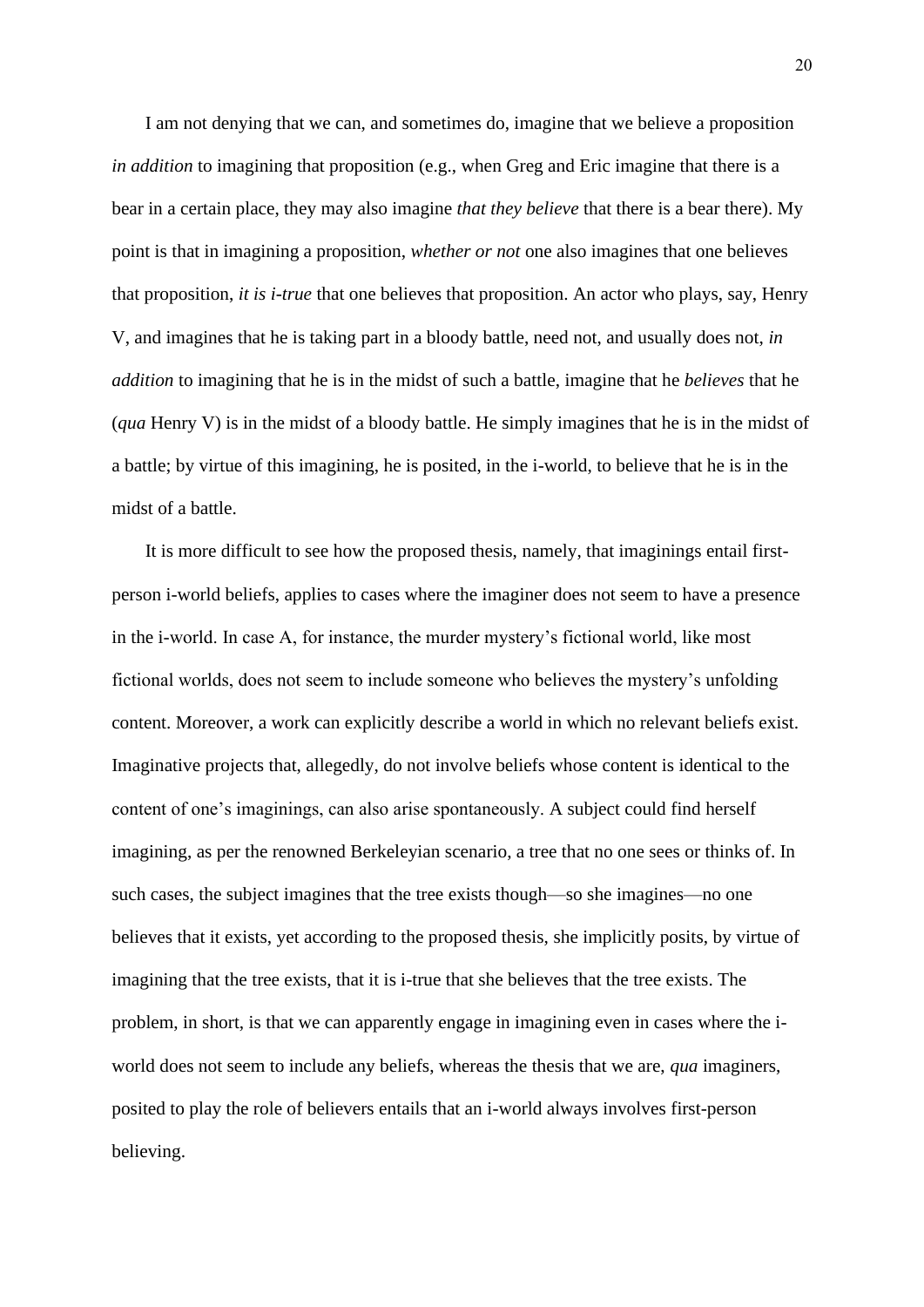I am not denying that we can, and sometimes do, imagine that we believe a proposition *in addition* to imagining that proposition (e.g., when Greg and Eric imagine that there is a bear in a certain place, they may also imagine *that they believe* that there is a bear there). My point is that in imagining a proposition, *whether or not* one also imagines that one believes that proposition, *it is i-true* that one believes that proposition. An actor who plays, say, Henry V, and imagines that he is taking part in a bloody battle, need not, and usually does not, *in addition* to imagining that he is in the midst of such a battle, imagine that he *believes* that he (*qua* Henry V) is in the midst of a bloody battle. He simply imagines that he is in the midst of a battle; by virtue of this imagining, he is posited, in the i-world, to believe that he is in the midst of a battle.

It is more difficult to see how the proposed thesis, namely, that imaginings entail firstperson i-world beliefs, applies to cases where the imaginer does not seem to have a presence in the i-world. In case A, for instance, the murder mystery's fictional world, like most fictional worlds, does not seem to include someone who believes the mystery's unfolding content. Moreover, a work can explicitly describe a world in which no relevant beliefs exist. Imaginative projects that, allegedly, do not involve beliefs whose content is identical to the content of one's imaginings, can also arise spontaneously. A subject could find herself imagining, as per the renowned Berkeleyian scenario, a tree that no one sees or thinks of. In such cases, the subject imagines that the tree exists though—so she imagines—no one believes that it exists, yet according to the proposed thesis, she implicitly posits, by virtue of imagining that the tree exists, that it is i-true that she believes that the tree exists. The problem, in short, is that we can apparently engage in imagining even in cases where the iworld does not seem to include any beliefs, whereas the thesis that we are, *qua* imaginers, posited to play the role of believers entails that an i-world always involves first-person believing.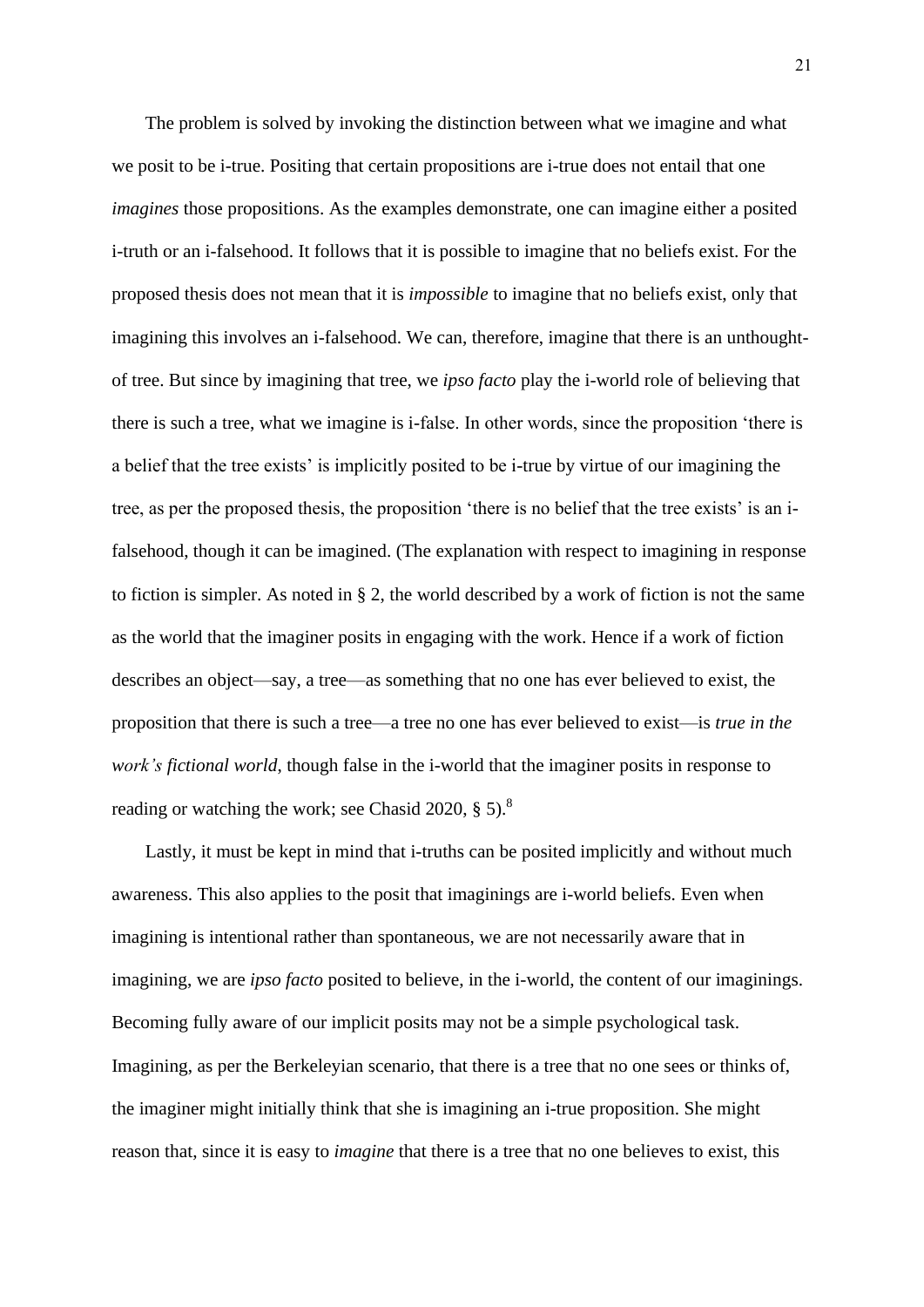The problem is solved by invoking the distinction between what we imagine and what we posit to be i-true. Positing that certain propositions are i-true does not entail that one *imagines* those propositions. As the examples demonstrate, one can imagine either a posited i-truth or an i-falsehood. It follows that it is possible to imagine that no beliefs exist. For the proposed thesis does not mean that it is *impossible* to imagine that no beliefs exist, only that imagining this involves an i-falsehood. We can, therefore, imagine that there is an unthoughtof tree. But since by imagining that tree, we *ipso facto* play the i-world role of believing that there is such a tree, what we imagine is i-false. In other words, since the proposition 'there is a belief that the tree exists' is implicitly posited to be i-true by virtue of our imagining the tree, as per the proposed thesis, the proposition 'there is no belief that the tree exists' is an ifalsehood, though it can be imagined. (The explanation with respect to imagining in response to fiction is simpler. As noted in § 2, the world described by a work of fiction is not the same as the world that the imaginer posits in engaging with the work. Hence if a work of fiction describes an object—say, a tree—as something that no one has ever believed to exist, the proposition that there is such a tree—a tree no one has ever believed to exist—is *true in the work's fictional world*, though false in the i-world that the imaginer posits in response to reading or watching the work; see Chasid 2020, § 5).<sup>8</sup>

Lastly, it must be kept in mind that i-truths can be posited implicitly and without much awareness. This also applies to the posit that imaginings are i-world beliefs. Even when imagining is intentional rather than spontaneous, we are not necessarily aware that in imagining, we are *ipso facto* posited to believe, in the i-world, the content of our imaginings. Becoming fully aware of our implicit posits may not be a simple psychological task. Imagining, as per the Berkeleyian scenario, that there is a tree that no one sees or thinks of, the imaginer might initially think that she is imagining an i-true proposition. She might reason that, since it is easy to *imagine* that there is a tree that no one believes to exist, this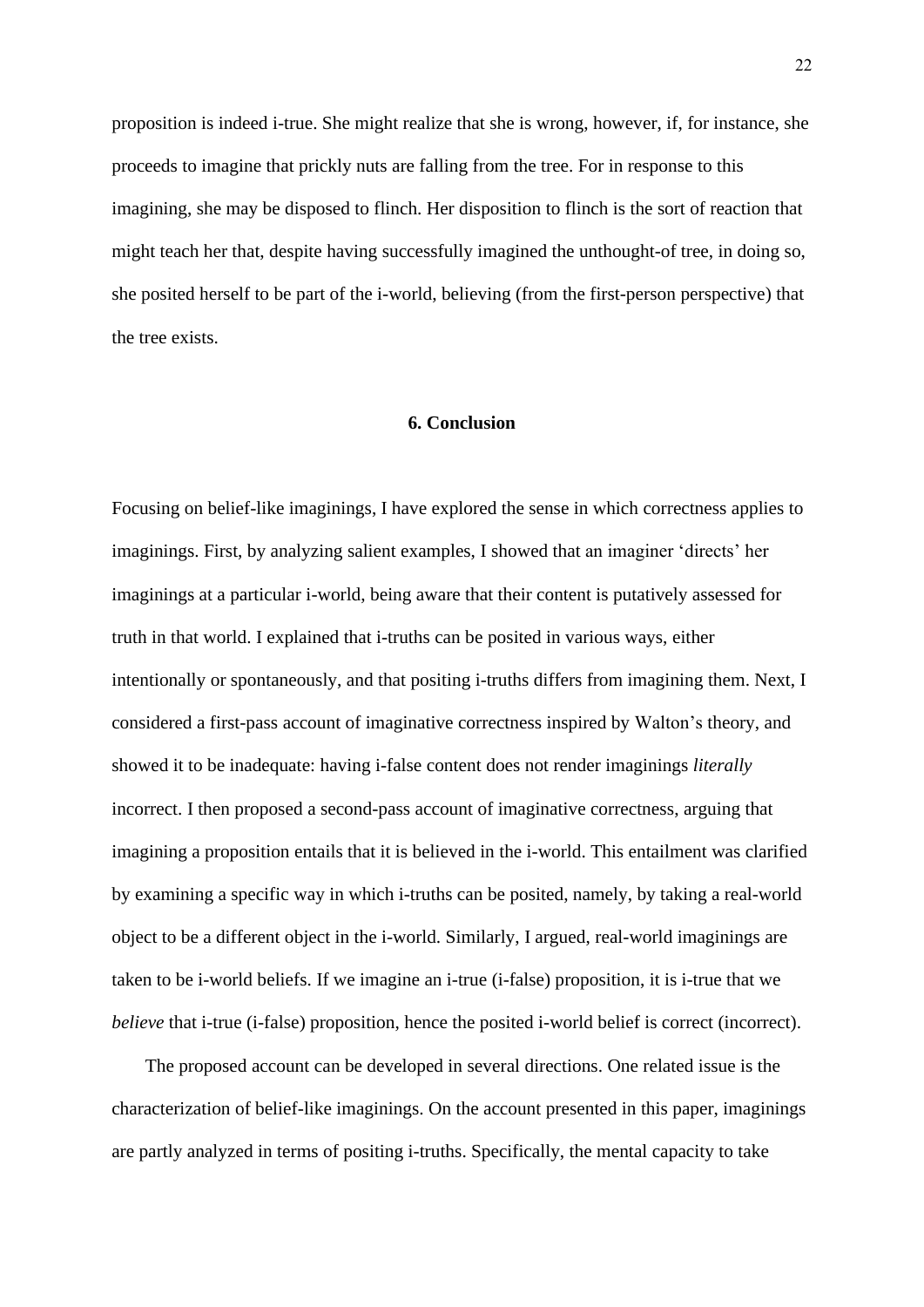proposition is indeed i-true. She might realize that she is wrong, however, if, for instance, she proceeds to imagine that prickly nuts are falling from the tree. For in response to this imagining, she may be disposed to flinch. Her disposition to flinch is the sort of reaction that might teach her that, despite having successfully imagined the unthought-of tree, in doing so, she posited herself to be part of the i-world, believing (from the first-person perspective) that the tree exists.

## **6. Conclusion**

Focusing on belief-like imaginings, I have explored the sense in which correctness applies to imaginings. First, by analyzing salient examples, I showed that an imaginer 'directs' her imaginings at a particular i-world, being aware that their content is putatively assessed for truth in that world. I explained that i-truths can be posited in various ways, either intentionally or spontaneously, and that positing i-truths differs from imagining them. Next, I considered a first-pass account of imaginative correctness inspired by Walton's theory, and showed it to be inadequate: having i-false content does not render imaginings *literally* incorrect. I then proposed a second-pass account of imaginative correctness, arguing that imagining a proposition entails that it is believed in the i-world. This entailment was clarified by examining a specific way in which i-truths can be posited, namely, by taking a real-world object to be a different object in the i-world. Similarly, I argued, real-world imaginings are taken to be i-world beliefs. If we imagine an i-true (i-false) proposition, it is i-true that we *believe* that i-true (i-false) proposition, hence the posited i-world belief is correct (incorrect).

The proposed account can be developed in several directions. One related issue is the characterization of belief-like imaginings. On the account presented in this paper, imaginings are partly analyzed in terms of positing i-truths. Specifically, the mental capacity to take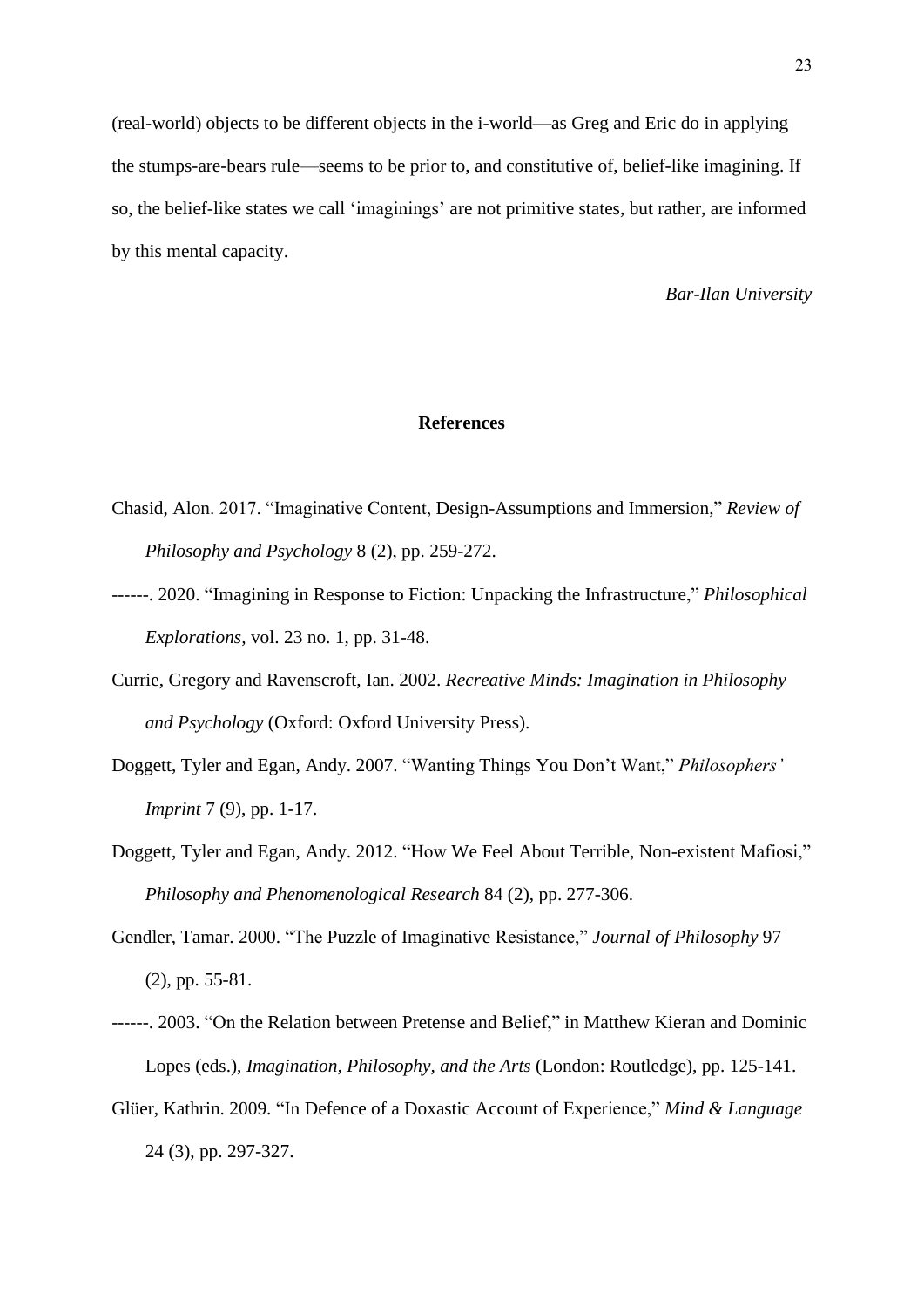(real-world) objects to be different objects in the i-world—as Greg and Eric do in applying the stumps-are-bears rule—seems to be prior to, and constitutive of, belief-like imagining. If so, the belief-like states we call 'imaginings' are not primitive states, but rather, are informed by this mental capacity.

*Bar-Ilan University*

### **References**

- Chasid, Alon. 2017. "Imaginative Content, Design-Assumptions and Immersion," *Review of Philosophy and Psychology* 8 (2), pp. 259-272.
- ------. 2020. "Imagining in Response to Fiction: Unpacking the Infrastructure," *Philosophical Explorations,* vol. 23 no. 1, pp. 31-48.
- Currie, Gregory and Ravenscroft, Ian. 2002. *Recreative Minds: Imagination in Philosophy and Psychology* (Oxford: Oxford University Press).
- Doggett, Tyler and Egan, Andy. 2007. "Wanting Things You Don't Want," *Philosophers' Imprint* 7 (9), pp. 1-17.
- Doggett, Tyler and Egan, Andy. 2012. "How We Feel About Terrible, Non-existent Mafiosi," *Philosophy and Phenomenological Research* 84 (2), pp. 277-306.
- Gendler, Tamar. 2000. "The Puzzle of Imaginative Resistance," *Journal of Philosophy* 97 (2), pp. 55-81.
- ------. 2003. "On the Relation between Pretense and Belief," in Matthew Kieran and Dominic Lopes (eds.), *Imagination, Philosophy, and the Arts* (London: Routledge), pp. 125-141.
- Glüer, Kathrin. 2009. "In Defence of a Doxastic Account of Experience," *Mind & Language* 24 (3), pp. 297-327.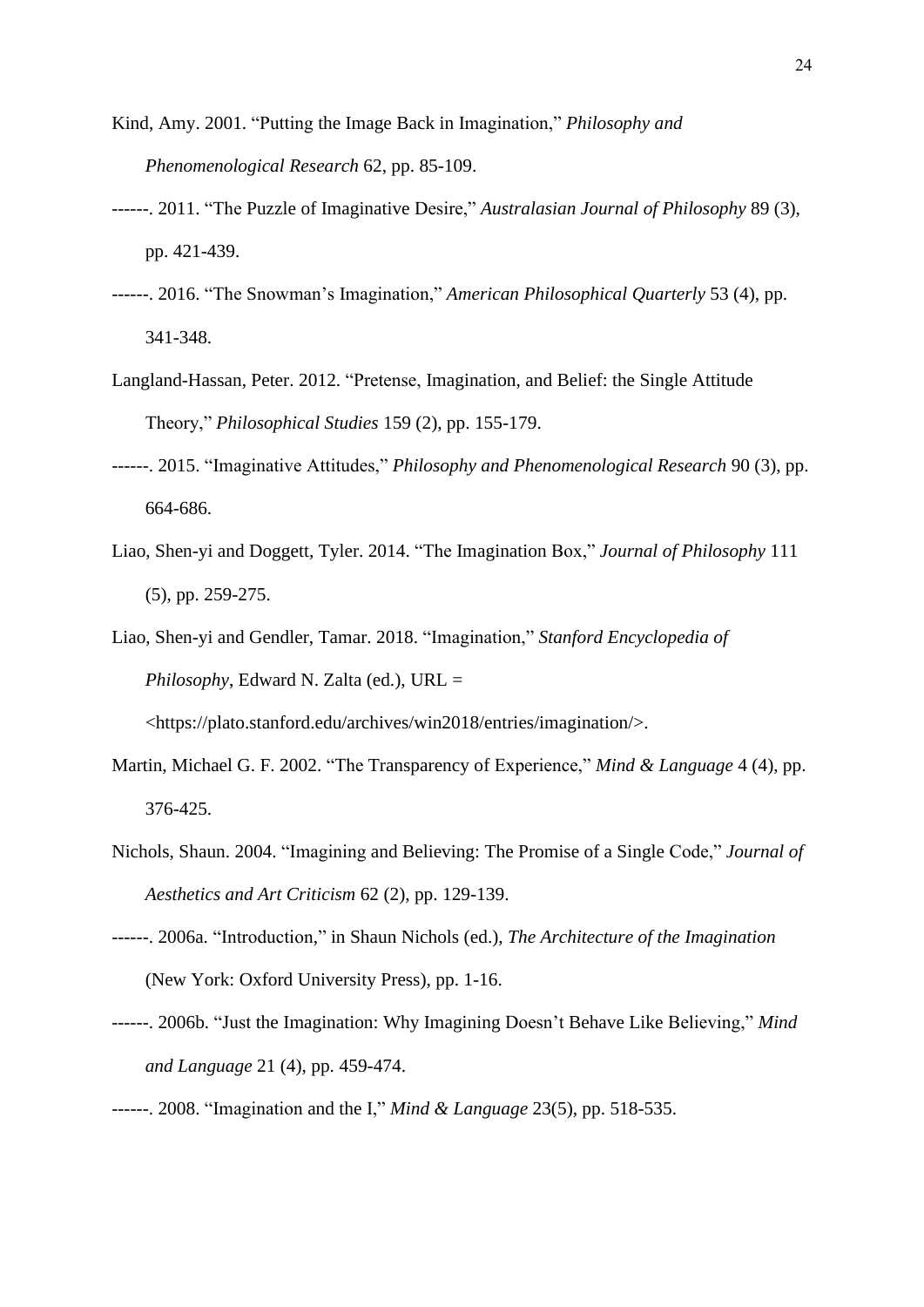- Kind, Amy. 2001. "Putting the Image Back in Imagination," *Philosophy and Phenomenological Research* 62, pp. 85-109.
- ------. 2011. "The Puzzle of Imaginative Desire," *Australasian Journal of Philosophy* 89 (3), pp. 421-439.
- ------. 2016. "The Snowman's Imagination," *American Philosophical Quarterly* 53 (4), pp. 341-348.
- Langland-Hassan, Peter. 2012. "Pretense, Imagination, and Belief: the Single Attitude Theory," *Philosophical Studies* 159 (2), pp. 155-179.
- ------. 2015. "Imaginative Attitudes," *Philosophy and Phenomenological Research* 90 (3), pp. 664-686.
- Liao, Shen-yi and Doggett, Tyler. 2014. "The Imagination Box," *Journal of Philosophy* 111 (5), pp. 259-275.
- Liao, Shen-yi and Gendler, Tamar. 2018. "Imagination," *Stanford Encyclopedia of Philosophy*, Edward N. Zalta (ed.), URL = <https://plato.stanford.edu/archives/win2018/entries/imagination/>.
- Martin, Michael G. F. 2002. "The Transparency of Experience," *Mind & Language* 4 (4), pp. 376-425.
- Nichols, Shaun. 2004. "Imagining and Believing: The Promise of a Single Code," *Journal of Aesthetics and Art Criticism* 62 (2), pp. 129-139.
- ------. 2006a. "Introduction," in Shaun Nichols (ed.), *The Architecture of the Imagination* (New York: Oxford University Press), pp. 1-16.
- ------. 2006b. "Just the Imagination: Why Imagining Doesn't Behave Like Believing," *Mind and Language* 21 (4), pp. 459-474.
- ------. 2008. "Imagination and the I," *Mind & Language* 23(5), pp. 518-535.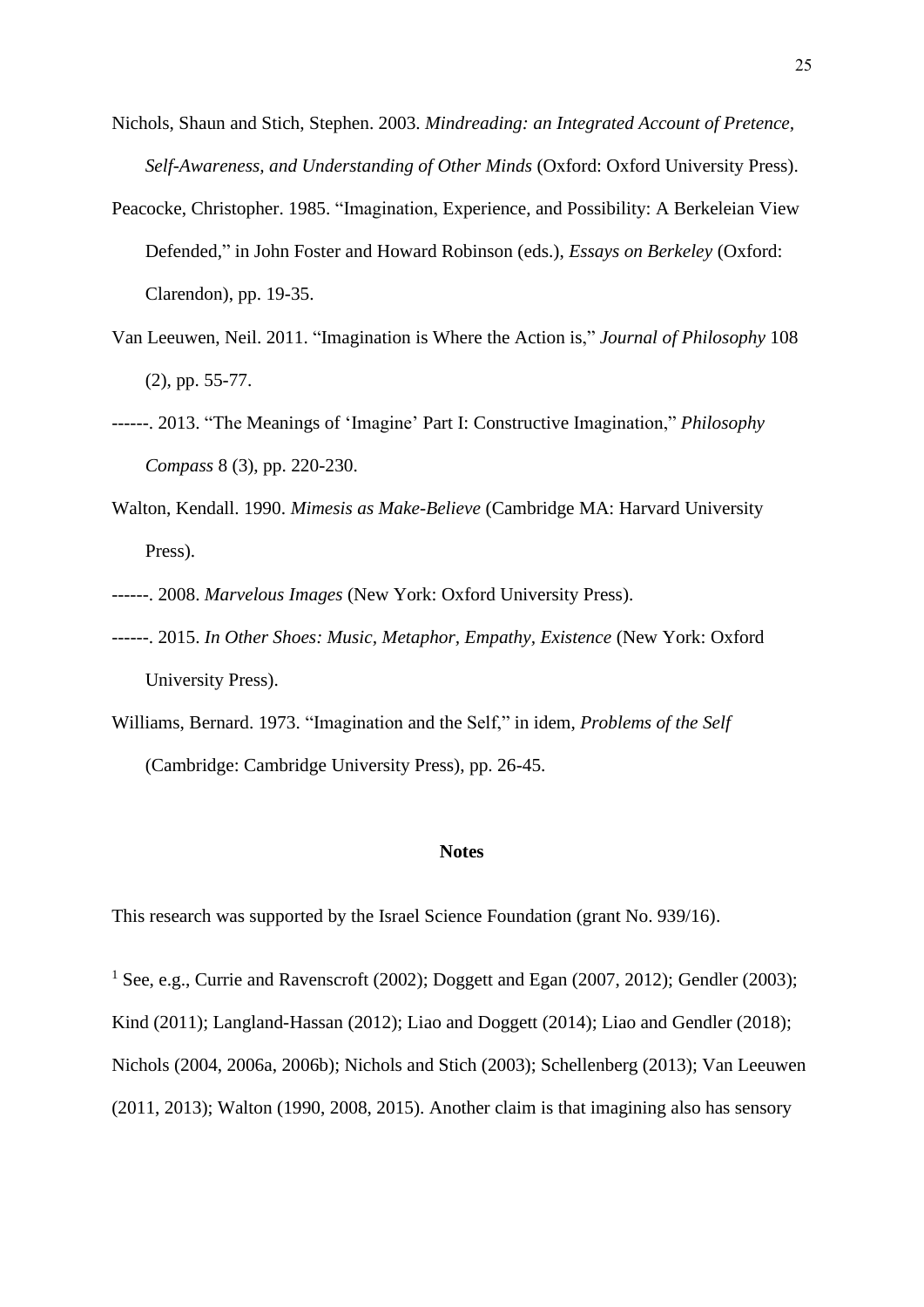- Nichols, Shaun and Stich, Stephen. 2003. *Mindreading: an Integrated Account of Pretence, Self-Awareness, and Understanding of Other Minds* (Oxford: Oxford University Press).
- Peacocke, Christopher. 1985. "Imagination, Experience, and Possibility: A Berkeleian View Defended," in John Foster and Howard Robinson (eds.), *Essays on Berkeley* (Oxford: Clarendon), pp. 19-35.
- Van Leeuwen, Neil. 2011. "Imagination is Where the Action is," *Journal of Philosophy* 108 (2), pp. 55-77.
- ------. 2013. "The Meanings of 'Imagine' Part I: Constructive Imagination," *Philosophy Compass* 8 (3), pp. 220-230.
- Walton, Kendall. 1990. *Mimesis as Make-Believe* (Cambridge MA: Harvard University Press).
- ------. 2008. *Marvelous Images* (New York: Oxford University Press).
- ------. 2015. *In Other Shoes: Music, Metaphor, Empathy, Existence* (New York: Oxford University Press).
- Williams, Bernard. 1973. "Imagination and the Self," in idem, *Problems of the Self* (Cambridge: Cambridge University Press), pp. 26-45.

#### **Notes**

This research was supported by the Israel Science Foundation (grant No. 939/16).

<sup>1</sup> See, e.g., Currie and Ravenscroft (2002); Doggett and Egan (2007, 2012); Gendler (2003); Kind (2011); Langland-Hassan (2012); Liao and Doggett (2014); Liao and Gendler (2018); Nichols (2004, 2006a, 2006b); Nichols and Stich (2003); Schellenberg (2013); Van Leeuwen (2011, 2013); Walton (1990, 2008, 2015). Another claim is that imagining also has sensory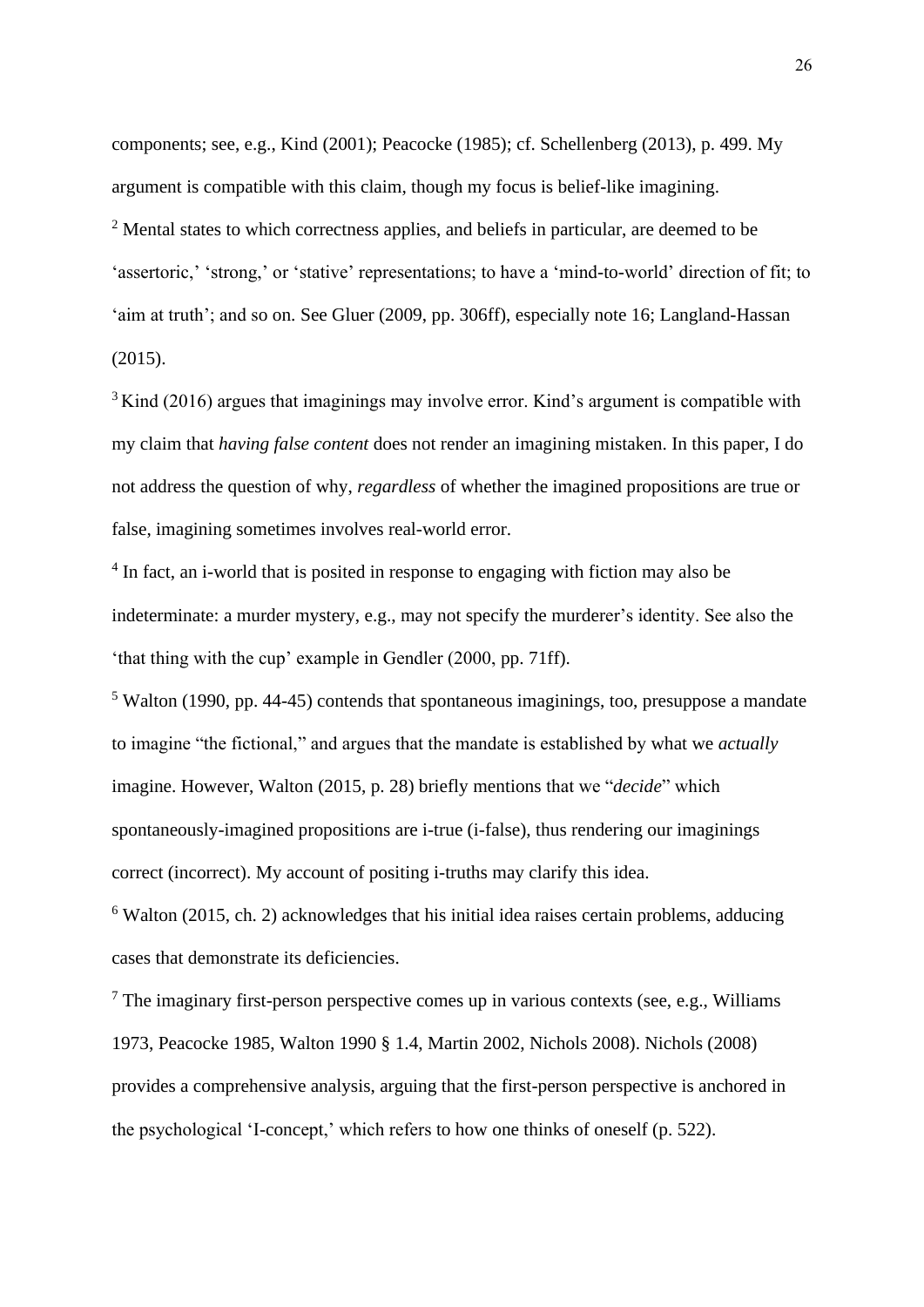components; see, e.g., Kind (2001); Peacocke (1985); cf. Schellenberg (2013), p. 499. My argument is compatible with this claim, though my focus is belief-like imagining.

<sup>2</sup> Mental states to which correctness applies, and beliefs in particular, are deemed to be 'assertoric,' 'strong,' or 'stative' representations; to have a 'mind-to-world' direction of fit; to 'aim at truth'; and so on. See Gluer (2009, pp. 306ff), especially note 16; Langland-Hassan (2015).

 $3$  Kind (2016) argues that imaginings may involve error. Kind's argument is compatible with my claim that *having false content* does not render an imagining mistaken. In this paper, I do not address the question of why, *regardless* of whether the imagined propositions are true or false, imagining sometimes involves real-world error.

<sup>4</sup> In fact, an i-world that is posited in response to engaging with fiction may also be indeterminate: a murder mystery, e.g., may not specify the murderer's identity. See also the 'that thing with the cup' example in Gendler (2000, pp. 71ff).

<sup>5</sup> Walton (1990, pp. 44-45) contends that spontaneous imaginings, too, presuppose a mandate to imagine "the fictional," and argues that the mandate is established by what we *actually* imagine. However, Walton (2015, p. 28) briefly mentions that we "*decide*" which spontaneously-imagined propositions are i-true (i-false), thus rendering our imaginings correct (incorrect). My account of positing i-truths may clarify this idea.

 $6$  Walton (2015, ch. 2) acknowledges that his initial idea raises certain problems, adducing cases that demonstrate its deficiencies.

 $<sup>7</sup>$  The imaginary first-person perspective comes up in various contexts (see, e.g., Williams)</sup> 1973, Peacocke 1985, Walton 1990 § 1.4, Martin 2002, Nichols 2008). Nichols (2008) provides a comprehensive analysis, arguing that the first-person perspective is anchored in the psychological 'I-concept,' which refers to how one thinks of oneself (p. 522).